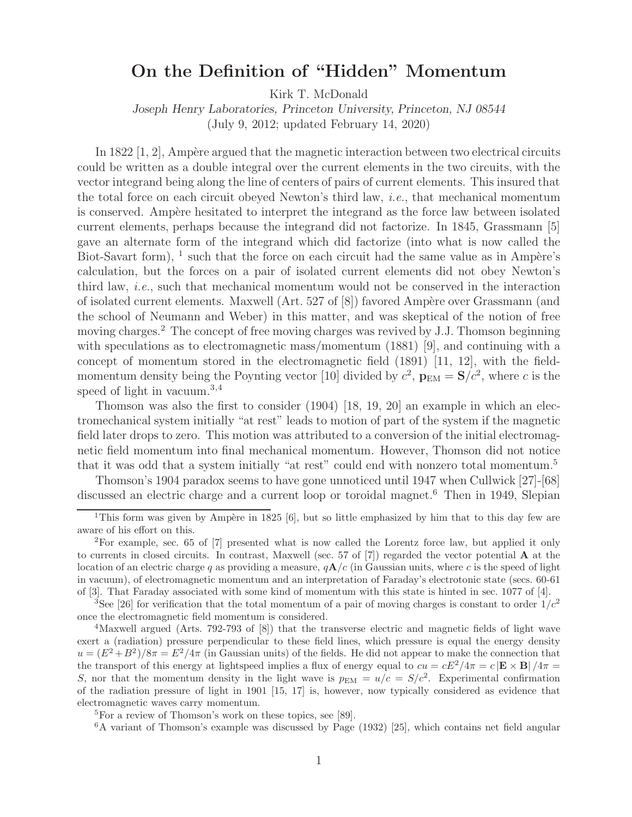# **On the Definition of "Hidden" Momentum**

Kirk T. McDonald

*Joseph Henry Laboratories, Princeton University, Princeton, NJ 08544*

(July 9, 2012; updated February 14, 2020)

In 1822  $[1, 2]$ , Ampère argued that the magnetic interaction between two electrical circuits could be written as a double integral over the current elements in the two circuits, with the vector integrand being along the line of centers of pairs of current elements. This insured that the total force on each circuit obeyed Newton's third law, *i.e.*, that mechanical momentum is conserved. Ampère hesitated to interpret the integrand as the force law between isolated current elements, perhaps because the integrand did not factorize. In 1845, Grassmann [5] gave an alternate form of the integrand which did factorize (into what is now called the Biot-Savart form),  $\frac{1}{1}$  such that the force on each circuit had the same value as in Ampère's calculation, but the forces on a pair of isolated current elements did not obey Newton's third law, *i.e.*, such that mechanical momentum would not be conserved in the interaction of isolated current elements. Maxwell (Art. 527 of [8]) favored Ampère over Grassmann (and the school of Neumann and Weber) in this matter, and was skeptical of the notion of free moving charges.<sup>2</sup> The concept of free moving charges was revived by J.J. Thomson beginning with speculations as to electromagnetic mass/momentum (1881) [9], and continuing with a concept of momentum stored in the electromagnetic field (1891) [11, 12], with the fieldmomentum density being the Poynting vector [10] divided by  $c^2$ ,  $\mathbf{p}_{EM} = \mathbf{S}/c^2$ , where c is the speed of light in vacuum.<sup>3,4</sup>

Thomson was also the first to consider (1904) [18, 19, 20] an example in which an electromechanical system initially "at rest" leads to motion of part of the system if the magnetic field later drops to zero. This motion was attributed to a conversion of the initial electromagnetic field momentum into final mechanical momentum. However, Thomson did not notice that it was odd that a system initially "at rest" could end with nonzero total momentum.<sup>5</sup>

Thomson's 1904 paradox seems to have gone unnoticed until 1947 when Cullwick [27]-[68] discussed an electric charge and a current loop or toroidal magnet.<sup>6</sup> Then in 1949, Slepian

<sup>&</sup>lt;sup>1</sup>This form was given by Ampère in 1825 [6], but so little emphasized by him that to this day few are aware of his effort on this.

<sup>2</sup>For example, sec. 65 of [7] presented what is now called the Lorentz force law, but applied it only to currents in closed circuits. In contrast, Maxwell (sec. 57 of [7]) regarded the vector potential **A** at the location of an electric charge q as providing a measure,  $qA/c$  (in Gaussian units, where c is the speed of light in vacuum), of electromagnetic momentum and an interpretation of Faraday's electrotonic state (secs. 60-61 of [3]. That Faraday associated with some kind of momentum with this state is hinted in sec. 1077 of [4].

<sup>&</sup>lt;sup>3</sup>See [26] for verification that the total momentum of a pair of moving charges is constant to order  $1/c<sup>2</sup>$ once the electromagnetic field momentum is considered.

<sup>&</sup>lt;sup>4</sup>Maxwell argued (Arts. 792-793 of [8]) that the transverse electric and magnetic fields of light wave exert a (radiation) pressure perpendicular to these field lines, which pressure is equal the energy density  $u = (E^2 + B^2)/8\pi = E^2/4\pi$  (in Gaussian units) of the fields. He did not appear to make the connection that the transport of this energy at lightspeed implies a flux of energy equal to  $cu = cE^2/4\pi = c |\mathbf{E} \times \mathbf{B}| / 4\pi =$ S, nor that the momentum density in the light wave is  $p_{EM} = u/c = S/c^2$ . Experimental confirmation of the radiation pressure of light in 1901 [15, 17] is, however, now typically considered as evidence that electromagnetic waves carry momentum.

<sup>5</sup>For a review of Thomson's work on these topics, see [89].

<sup>6</sup>A variant of Thomson's example was discussed by Page (1932) [25], which contains net field angular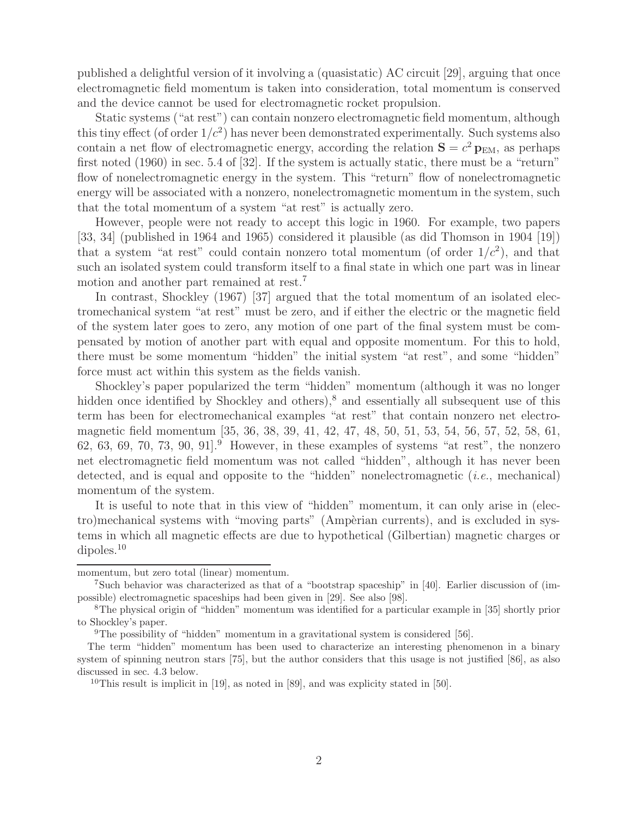published a delightful version of it involving a (quasistatic) AC circuit [29], arguing that once electromagnetic field momentum is taken into consideration, total momentum is conserved and the device cannot be used for electromagnetic rocket propulsion.

Static systems ("at rest") can contain nonzero electromagnetic field momentum, although this tiny effect (of order  $1/c^2$ ) has never been demonstrated experimentally. Such systems also contain a net flow of electromagnetic energy, according the relation  $S = c^2 p_{EM}$ , as perhaps first noted (1960) in sec. 5.4 of [32]. If the system is actually static, there must be a "return" flow of nonelectromagnetic energy in the system. This "return" flow of nonelectromagnetic energy will be associated with a nonzero, nonelectromagnetic momentum in the system, such that the total momentum of a system "at rest" is actually zero.

However, people were not ready to accept this logic in 1960. For example, two papers [33, 34] (published in 1964 and 1965) considered it plausible (as did Thomson in 1904 [19]) that a system "at rest" could contain nonzero total momentum (of order  $1/c^2$ ), and that such an isolated system could transform itself to a final state in which one part was in linear motion and another part remained at rest.<sup>7</sup>

In contrast, Shockley (1967) [37] argued that the total momentum of an isolated electromechanical system "at rest" must be zero, and if either the electric or the magnetic field of the system later goes to zero, any motion of one part of the final system must be compensated by motion of another part with equal and opposite momentum. For this to hold, there must be some momentum "hidden" the initial system "at rest", and some "hidden" force must act within this system as the fields vanish.

Shockley's paper popularized the term "hidden" momentum (although it was no longer hidden once identified by Shockley and others),<sup>8</sup> and essentially all subsequent use of this term has been for electromechanical examples "at rest" that contain nonzero net electromagnetic field momentum [35, 36, 38, 39, 41, 42, 47, 48, 50, 51, 53, 54, 56, 57, 52, 58, 61, 62, 63, 69, 70, 73, 90, 91.<sup>9</sup> However, in these examples of systems "at rest", the nonzero net electromagnetic field momentum was not called "hidden", although it has never been detected, and is equal and opposite to the "hidden" nonelectromagnetic (*i.e.*, mechanical) momentum of the system.

It is useful to note that in this view of "hidden" momentum, it can only arise in (electro)mechanical systems with "moving parts" (Ampèrian currents), and is excluded in systems in which all magnetic effects are due to hypothetical (Gilbertian) magnetic charges or dipoles.<sup>10</sup>

momentum, but zero total (linear) momentum.

<sup>7</sup>Such behavior was characterized as that of a "bootstrap spaceship" in [40]. Earlier discussion of (impossible) electromagnetic spaceships had been given in [29]. See also [98].

<sup>8</sup>The physical origin of "hidden" momentum was identified for a particular example in [35] shortly prior to Shockley's paper.

<sup>9</sup>The possibility of "hidden" momentum in a gravitational system is considered [56].

The term "hidden" momentum has been used to characterize an interesting phenomenon in a binary system of spinning neutron stars [75], but the author considers that this usage is not justified [86], as also discussed in sec. 4.3 below.

<sup>&</sup>lt;sup>10</sup>This result is implicit in [19], as noted in [89], and was explicity stated in [50].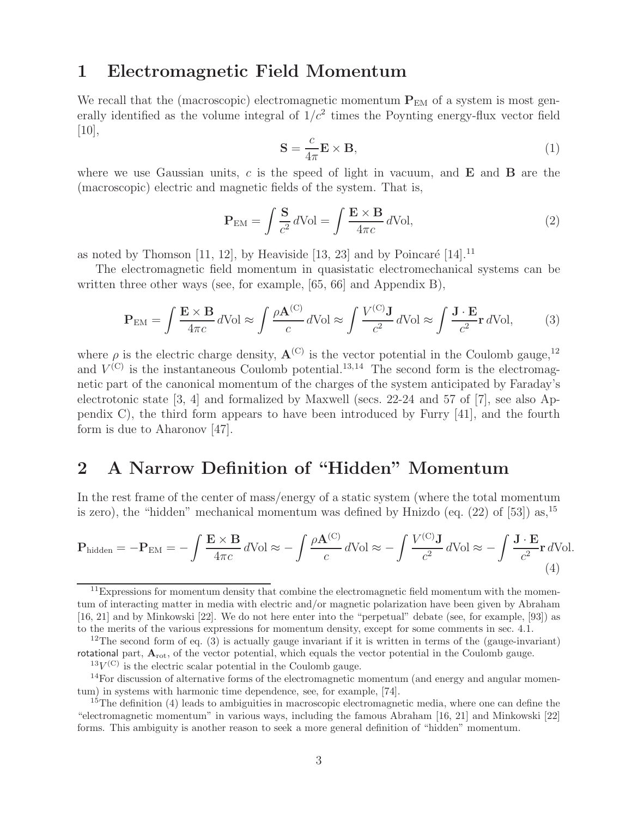## **1 Electromagnetic Field Momentum**

We recall that the (macroscopic) electromagnetic momentum  $P_{EM}$  of a system is most generally identified as the volume integral of  $1/c^2$  times the Poynting energy-flux vector field  $[10]$ ,

$$
\mathbf{S} = \frac{c}{4\pi} \mathbf{E} \times \mathbf{B},\tag{1}
$$

where we use Gaussian units, c is the speed of light in vacuum, and **E** and **B** are the (macroscopic) electric and magnetic fields of the system. That is,

$$
\mathbf{P}_{\text{EM}} = \int \frac{\mathbf{S}}{c^2} d\text{Vol} = \int \frac{\mathbf{E} \times \mathbf{B}}{4\pi c} d\text{Vol},\tag{2}
$$

as noted by Thomson [11, 12], by Heaviside [13, 23] and by Poincaré [14].<sup>11</sup>

The electromagnetic field momentum in quasistatic electromechanical systems can be written three other ways (see, for example, [65, 66] and Appendix B),

$$
\mathbf{P}_{\text{EM}} = \int \frac{\mathbf{E} \times \mathbf{B}}{4\pi c} d\text{Vol} \approx \int \frac{\rho \mathbf{A}^{(\text{C})}}{c} d\text{Vol} \approx \int \frac{V^{(\text{C})} \mathbf{J}}{c^2} d\text{Vol} \approx \int \frac{\mathbf{J} \cdot \mathbf{E}}{c^2} \mathbf{r} d\text{Vol},\tag{3}
$$

where  $\rho$  is the electric charge density,  $\mathbf{A}^{(C)}$  is the vector potential in the Coulomb gauge,<sup>12</sup> and  $V^{(C)}$  is the instantaneous Coulomb potential.<sup>13,14</sup> The second form is the electromagnetic part of the canonical momentum of the charges of the system anticipated by Faraday's electrotonic state [3, 4] and formalized by Maxwell (secs. 22-24 and 57 of [7], see also Appendix C), the third form appears to have been introduced by Furry [41], and the fourth form is due to Aharonov [47].

# **2 A Narrow Definition of "Hidden" Momentum**

In the rest frame of the center of mass/energy of a static system (where the total momentum is zero), the "hidden" mechanical momentum was defined by Hnizdo (eq.  $(22)$  of [53]) as,  $^{15}$ 

$$
\mathbf{P}_{\text{hidden}} = -\mathbf{P}_{\text{EM}} = -\int \frac{\mathbf{E} \times \mathbf{B}}{4\pi c} d\text{Vol} \approx -\int \frac{\rho \mathbf{A}^{(C)}}{c} d\text{Vol} \approx -\int \frac{V^{(C)} \mathbf{J}}{c^2} d\text{Vol} \approx -\int \frac{\mathbf{J} \cdot \mathbf{E}}{c^2} \mathbf{r} d\text{Vol}.
$$
\n(4)

 $11$ Expressions for momentum density that combine the electromagnetic field momentum with the momentum of interacting matter in media with electric and/or magnetic polarization have been given by Abraham [16, 21] and by Minkowski [22]. We do not here enter into the "perpetual" debate (see, for example, [93]) as to the merits of the various expressions for momentum density, except for some comments in sec. 4.1.

<sup>&</sup>lt;sup>12</sup>The second form of eq. (3) is actually gauge invariant if it is written in terms of the (gauge-invariant) rotational part,  $A_{\text{rot}}$ , of the vector potential, which equals the vector potential in the Coulomb gauge.

 $13V^{(C)}$  is the electric scalar potential in the Coulomb gauge.

 $14$ For discussion of alternative forms of the electromagnetic momentum (and energy and angular momentum) in systems with harmonic time dependence, see, for example, [74].

 $15$ The definition (4) leads to ambiguities in macroscopic electromagnetic media, where one can define the "electromagnetic momentum" in various ways, including the famous Abraham [16, 21] and Minkowski [22] forms. This ambiguity is another reason to seek a more general definition of "hidden" momentum.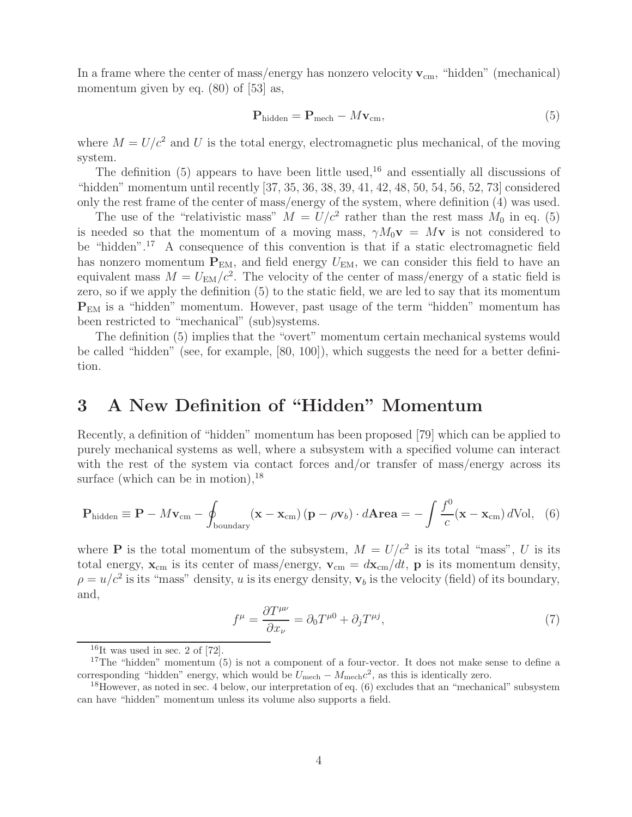In a frame where the center of mass/energy has nonzero velocity  $v_{cm}$ , "hidden" (mechanical) momentum given by eq.  $(80)$  of [53] as,

$$
\mathbf{P}_{\text{hidden}} = \mathbf{P}_{\text{mech}} - M\mathbf{v}_{\text{cm}},\tag{5}
$$

where  $M = U/c^2$  and U is the total energy, electromagnetic plus mechanical, of the moving system.

The definition (5) appears to have been little used,<sup>16</sup> and essentially all discussions of "hidden" momentum until recently [37, 35, 36, 38, 39, 41, 42, 48, 50, 54, 56, 52, 73] considered only the rest frame of the center of mass/energy of the system, where definition (4) was used.

The use of the "relativistic mass"  $M = U/c^2$  rather than the rest mass  $M_0$  in eq. (5) is needed so that the momentum of a moving mass,  $\gamma M_0 \mathbf{v} = M \mathbf{v}$  is not considered to be "hidden".<sup>17</sup> A consequence of this convention is that if a static electromagnetic field has nonzero momentum  $P_{EM}$ , and field energy  $U_{EM}$ , we can consider this field to have an equivalent mass  $M = U_{EM}/c^2$ . The velocity of the center of mass/energy of a static field is zero, so if we apply the definition (5) to the static field, we are led to say that its momentum **P**EM is a "hidden" momentum. However, past usage of the term "hidden" momentum has been restricted to "mechanical" (sub)systems.

The definition (5) implies that the "overt" momentum certain mechanical systems would be called "hidden" (see, for example, [80, 100]), which suggests the need for a better definition.

## **3 A New Definition of "Hidden" Momentum**

Recently, a definition of "hidden" momentum has been proposed [79] which can be applied to purely mechanical systems as well, where a subsystem with a specified volume can interact with the rest of the system via contact forces and/or transfer of mass/energy across its surface (which can be in motion),  $^{18}$ 

$$
\mathbf{P}_{\text{hidden}} \equiv \mathbf{P} - M\mathbf{v}_{\text{cm}} - \oint_{\text{boundary}} (\mathbf{x} - \mathbf{x}_{\text{cm}}) (\mathbf{p} - \rho \mathbf{v}_b) \cdot d\mathbf{A} \mathbf{r} \mathbf{e} \mathbf{a} = -\int \frac{f^0}{c} (\mathbf{x} - \mathbf{x}_{\text{cm}}) d\text{Vol}, \quad (6)
$$

where **P** is the total momentum of the subsystem,  $M = U/c^2$  is its total "mass", U is its total energy,  $\mathbf{x}_{cm}$  is its center of mass/energy,  $\mathbf{v}_{cm} = d\mathbf{x}_{cm}/dt$ , **p** is its momentum density,  $\rho = u/c^2$  is its "mass" density, u is its energy density,  $\mathbf{v}_b$  is the velocity (field) of its boundary, and,

$$
f^{\mu} = \frac{\partial T^{\mu\nu}}{\partial x_{\nu}} = \partial_0 T^{\mu 0} + \partial_j T^{\mu j},\tag{7}
$$

 $16$ It was used in sec. 2 of [72].

<sup>&</sup>lt;sup>17</sup>The "hidden" momentum  $(5)$  is not a component of a four-vector. It does not make sense to define a corresponding "hidden" energy, which would be  $U_{\text{mech}} - M_{\text{mech}}c^2$ , as this is identically zero.

<sup>&</sup>lt;sup>18</sup>However, as noted in sec. 4 below, our interpretation of eq.  $(6)$  excludes that an "mechanical" subsystem can have "hidden" momentum unless its volume also supports a field.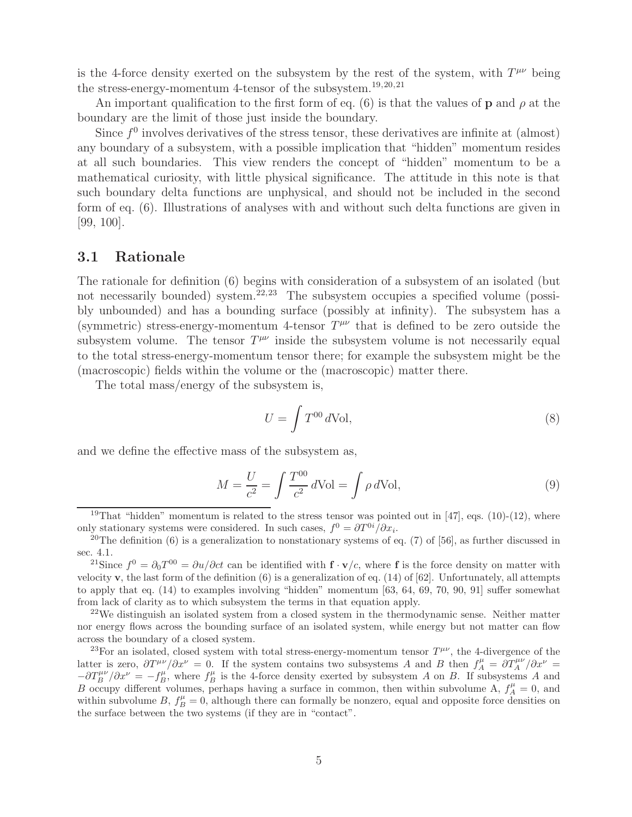is the 4-force density exerted on the subsystem by the rest of the system, with  $T^{\mu\nu}$  being the stress-energy-momentum 4-tensor of the subsystem.19,20,21

An important qualification to the first form of eq. (6) is that the values of **p** and  $\rho$  at the boundary are the limit of those just inside the boundary.

Since  $f^0$  involves derivatives of the stress tensor, these derivatives are infinite at (almost) any boundary of a subsystem, with a possible implication that "hidden" momentum resides at all such boundaries. This view renders the concept of "hidden" momentum to be a mathematical curiosity, with little physical significance. The attitude in this note is that such boundary delta functions are unphysical, and should not be included in the second form of eq. (6). Illustrations of analyses with and without such delta functions are given in [99, 100].

### **3.1 Rationale**

The rationale for definition (6) begins with consideration of a subsystem of an isolated (but not necessarily bounded) system.<sup>22,23</sup> The subsystem occupies a specified volume (possibly unbounded) and has a bounding surface (possibly at infinity). The subsystem has a (symmetric) stress-energy-momentum 4-tensor  $T^{\mu\nu}$  that is defined to be zero outside the subsystem volume. The tensor  $T^{\mu\nu}$  inside the subsystem volume is not necessarily equal to the total stress-energy-momentum tensor there; for example the subsystem might be the (macroscopic) fields within the volume or the (macroscopic) matter there.

The total mass/energy of the subsystem is,

$$
U = \int T^{00} d\text{Vol},\tag{8}
$$

and we define the effective mass of the subsystem as,

$$
M = \frac{U}{c^2} = \int \frac{T^{00}}{c^2} d\text{Vol} = \int \rho d\text{Vol},\tag{9}
$$

<sup>&</sup>lt;sup>19</sup>That "hidden" momentum is related to the stress tensor was pointed out in [47], eqs. (10)-(12), where only stationary systems were considered. In such cases,  $f^0 = \partial T^{0i}/\partial x_i$ .

<sup>&</sup>lt;sup>20</sup>The definition (6) is a generalization to nonstationary systems of eq. (7) of [56], as further discussed in sec. 4.1.

<sup>&</sup>lt;sup>21</sup>Since  $f^0 = \partial_0 T^{00} = \partial u / \partial c t$  can be identified with  $f \cdot v/c$ , where f is the force density on matter with velocity **v**, the last form of the definition (6) is a generalization of eq. (14) of [62]. Unfortunately, all attempts to apply that eq. (14) to examples involving "hidden" momentum [63, 64, 69, 70, 90, 91] suffer somewhat from lack of clarity as to which subsystem the terms in that equation apply.

<sup>&</sup>lt;sup>22</sup>We distinguish an isolated system from a closed system in the thermodynamic sense. Neither matter nor energy flows across the bounding surface of an isolated system, while energy but not matter can flow across the boundary of a closed system.

<sup>&</sup>lt;sup>23</sup>For an isolated, closed system with total stress-energy-momentum tensor  $T^{\mu\nu}$ , the 4-divergence of the latter is zero,  $\frac{\partial T^{\mu\nu}}{\partial x^{\nu}} = 0$ . If the system contains two subsystems A and B then  $f_{A}^{\mu} = \frac{\partial T_{A}^{\mu\nu}}{\partial x^{\nu}} =$  $-\frac{\partial T_B^{\mu\nu}}{\partial x^{\nu}} = -f_B^{\mu}$ , where  $f_B^{\mu}$  is the 4-force density exerted by subsystem A on B. If subsystems A and B occupy different volumes, perhaps having a surface in common, then within subvolume A,  $f_A^{\mu} = 0$ , and within subvolume B,  $f_B^{\mu} = 0$ , although there can formally be nonzero, equal and opposite force densities on the surface between the two systems (if they are in "contact".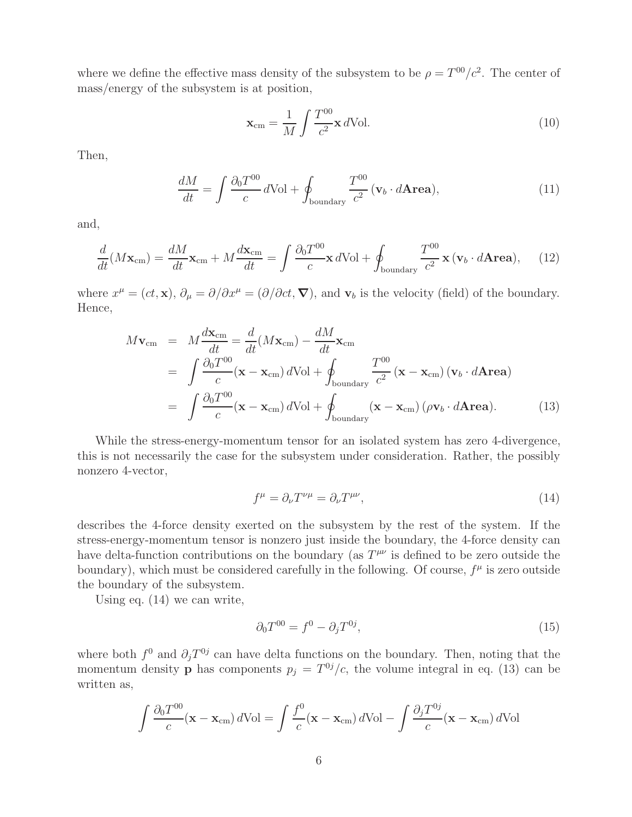where we define the effective mass density of the subsystem to be  $\rho = T^{00}/c^2$ . The center of mass/energy of the subsystem is at position,

$$
\mathbf{x}_{cm} = \frac{1}{M} \int \frac{T^{00}}{c^2} \mathbf{x} \, d\text{Vol.} \tag{10}
$$

Then,

$$
\frac{dM}{dt} = \int \frac{\partial_0 T^{00}}{c} d\text{Vol} + \oint_{\text{boundary}} \frac{T^{00}}{c^2} (\mathbf{v}_b \cdot d\mathbf{Area}),\tag{11}
$$

and,

$$
\frac{d}{dt}(M\mathbf{x}_{cm}) = \frac{dM}{dt}\mathbf{x}_{cm} + M\frac{d\mathbf{x}_{cm}}{dt} = \int \frac{\partial_0 T^{00}}{c}\mathbf{x} \, d\text{Vol} + \oint_{\text{boundary}} \frac{T^{00}}{c^2}\mathbf{x} \, (\mathbf{v}_b \cdot d\mathbf{Area}), \tag{12}
$$

where  $x^{\mu} = (ct, \mathbf{x}), \partial_{\mu} = \partial/\partial x^{\mu} = (\partial/\partial ct, \nabla)$ , and  $\mathbf{v}_{b}$  is the velocity (field) of the boundary. Hence,

$$
M\mathbf{v}_{\rm cm} = M\frac{d\mathbf{x}_{\rm cm}}{dt} = \frac{d}{dt}(M\mathbf{x}_{\rm cm}) - \frac{dM}{dt}\mathbf{x}_{\rm cm}
$$
  
\n
$$
= \int \frac{\partial_0 T^{00}}{c} (\mathbf{x} - \mathbf{x}_{\rm cm}) d\text{Vol} + \oint_{\text{boundary}} \frac{T^{00}}{c^2} (\mathbf{x} - \mathbf{x}_{\rm cm}) (\mathbf{v}_b \cdot d\mathbf{Area})
$$
  
\n
$$
= \int \frac{\partial_0 T^{00}}{c} (\mathbf{x} - \mathbf{x}_{\rm cm}) d\text{Vol} + \oint_{\text{boundary}} (\mathbf{x} - \mathbf{x}_{\rm cm}) (\rho \mathbf{v}_b \cdot d\mathbf{Area}). \tag{13}
$$

While the stress-energy-momentum tensor for an isolated system has zero 4-divergence, this is not necessarily the case for the subsystem under consideration. Rather, the possibly nonzero 4-vector,

$$
f^{\mu} = \partial_{\nu} T^{\nu \mu} = \partial_{\nu} T^{\mu \nu}, \tag{14}
$$

describes the 4-force density exerted on the subsystem by the rest of the system. If the stress-energy-momentum tensor is nonzero just inside the boundary, the 4-force density can have delta-function contributions on the boundary (as  $T^{\mu\nu}$  is defined to be zero outside the boundary), which must be considered carefully in the following. Of course,  $f^{\mu}$  is zero outside the boundary of the subsystem.

Using eq. (14) we can write,

$$
\partial_0 T^{00} = f^0 - \partial_j T^{0j}, \tag{15}
$$

where both  $f^0$  and  $\partial_i T^{0j}$  can have delta functions on the boundary. Then, noting that the momentum density **p** has components  $p_j = T^{0j}/c$ , the volume integral in eq. (13) can be written as,

$$
\int \frac{\partial_0 T^{00}}{c} (\mathbf{x} - \mathbf{x}_{cm}) d\text{Vol} = \int \frac{f^0}{c} (\mathbf{x} - \mathbf{x}_{cm}) d\text{Vol} - \int \frac{\partial_j T^{0j}}{c} (\mathbf{x} - \mathbf{x}_{cm}) d\text{Vol}
$$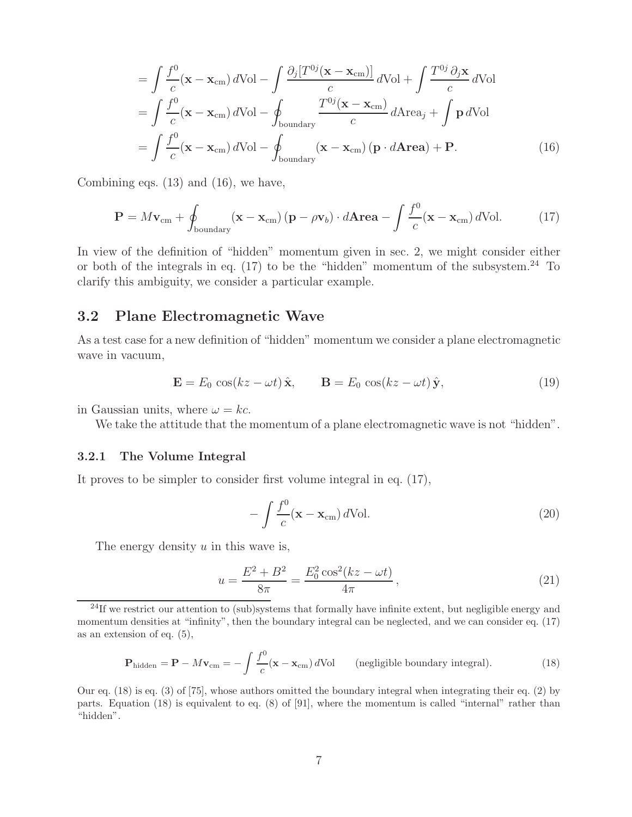$$
= \int \frac{f^{0}}{c} (\mathbf{x} - \mathbf{x}_{cm}) dVol - \int \frac{\partial_{j} [T^{0j} (\mathbf{x} - \mathbf{x}_{cm})]}{c} dVol + \int \frac{T^{0j} \partial_{j} \mathbf{x}}{c} dVol
$$

$$
= \int \frac{f^{0}}{c} (\mathbf{x} - \mathbf{x}_{cm}) dVol - \oint_{\text{boundary}} \frac{T^{0j} (\mathbf{x} - \mathbf{x}_{cm})}{c} dArea_{j} + \int \mathbf{p} dVol
$$

$$
= \int \frac{f^{0}}{c} (\mathbf{x} - \mathbf{x}_{cm}) dVol - \oint_{\text{boundary}} (\mathbf{x} - \mathbf{x}_{cm}) (\mathbf{p} \cdot d \mathbf{A} \mathbf{r} \mathbf{e} \mathbf{a}) + \mathbf{P}. \tag{16}
$$

Combining eqs. (13) and (16), we have,

$$
\mathbf{P} = M\mathbf{v}_{\rm cm} + \oint_{\text{boundary}} (\mathbf{x} - \mathbf{x}_{\rm cm}) (\mathbf{p} - \rho \mathbf{v}_b) \cdot d\mathbf{A} \mathbf{r} \mathbf{e} \mathbf{a} - \int \frac{f^0}{c} (\mathbf{x} - \mathbf{x}_{\rm cm}) d\text{Vol}. \tag{17}
$$

In view of the definition of "hidden" momentum given in sec. 2, we might consider either or both of the integrals in eq.  $(17)$  to be the "hidden" momentum of the subsystem.<sup>24</sup> To clarify this ambiguity, we consider a particular example.

### **3.2 Plane Electromagnetic Wave**

As a test case for a new definition of "hidden" momentum we consider a plane electromagnetic wave in vacuum,

$$
\mathbf{E} = E_0 \cos(kz - \omega t) \hat{\mathbf{x}}, \qquad \mathbf{B} = E_0 \cos(kz - \omega t) \hat{\mathbf{y}}, \tag{19}
$$

in Gaussian units, where  $\omega = kc$ .

We take the attitude that the momentum of a plane electromagnetic wave is not "hidden".

#### **3.2.1 The Volume Integral**

It proves to be simpler to consider first volume integral in eq. (17),

$$
-\int \frac{f^0}{c} (\mathbf{x} - \mathbf{x}_{cm}) \, d\text{Vol}.\tag{20}
$$

The energy density  $u$  in this wave is,

$$
u = \frac{E^2 + B^2}{8\pi} = \frac{E_0^2 \cos^2(kz - \omega t)}{4\pi},
$$
\n(21)

$$
\mathbf{P}_{\text{hidden}} = \mathbf{P} - M\mathbf{v}_{\text{cm}} = -\int \frac{f^0}{c} (\mathbf{x} - \mathbf{x}_{\text{cm}}) d\text{Vol} \qquad \text{(negligible boundary integral)}.
$$
 (18)

Our eq. (18) is eq. (3) of [75], whose authors omitted the boundary integral when integrating their eq. (2) by parts. Equation (18) is equivalent to eq. (8) of [91], where the momentum is called "internal" rather than "hidden".

 $24$ If we restrict our attention to (sub)systems that formally have infinite extent, but negligible energy and momentum densities at "infinity", then the boundary integral can be neglected, and we can consider eq. (17) as an extension of eq. (5),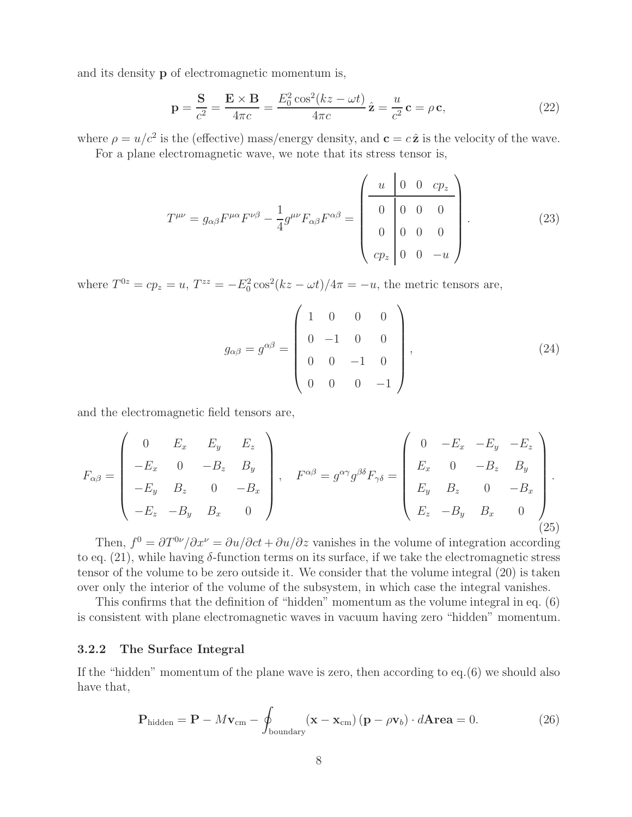and its density **p** of electromagnetic momentum is,

$$
\mathbf{p} = \frac{\mathbf{S}}{c^2} = \frac{\mathbf{E} \times \mathbf{B}}{4\pi c} = \frac{E_0^2 \cos^2(kz - \omega t)}{4\pi c} \hat{\mathbf{z}} = \frac{u}{c^2} \mathbf{c} = \rho \mathbf{c},\tag{22}
$$

where  $\rho = u/c^2$  is the (effective) mass/energy density, and  $\mathbf{c} = c\hat{\mathbf{z}}$  is the velocity of the wave.

For a plane electromagnetic wave, we note that its stress tensor is,

$$
T^{\mu\nu} = g_{\alpha\beta} F^{\mu\alpha} F^{\nu\beta} - \frac{1}{4} g^{\mu\nu} F_{\alpha\beta} F^{\alpha\beta} = \begin{pmatrix} u & 0 & 0 & cp_z \\ 0 & 0 & 0 & 0 \\ 0 & 0 & 0 & 0 \\ cp_z & 0 & 0 & -u \end{pmatrix} .
$$
 (23)

where  $T^{0z} = cp_z = u$ ,  $T^{zz} = -E_0^2 \cos^2(kz - \omega t)/4\pi = -u$ , the metric tensors are,

$$
g_{\alpha\beta} = g^{\alpha\beta} = \begin{pmatrix} 1 & 0 & 0 & 0 \\ 0 & -1 & 0 & 0 \\ 0 & 0 & -1 & 0 \\ 0 & 0 & 0 & -1 \end{pmatrix}, \tag{24}
$$

and the electromagnetic field tensors are,

$$
F_{\alpha\beta} = \begin{pmatrix} 0 & E_x & E_y & E_z \\ -E_x & 0 & -B_z & B_y \\ -E_y & B_z & 0 & -B_x \\ -E_z & -B_y & B_x & 0 \end{pmatrix}, \quad F^{\alpha\beta} = g^{\alpha\gamma}g^{\beta\delta}F_{\gamma\delta} = \begin{pmatrix} 0 & -E_x & -E_y & -E_z \\ E_x & 0 & -B_z & B_y \\ E_y & B_z & 0 & -B_x \\ E_z & -B_y & B_x & 0 \end{pmatrix}.
$$
\n(25)

Then,  $f^0 = \frac{\partial T^{0\nu}}{\partial x^{\nu}} = \frac{\partial u}{\partial c}t + \frac{\partial u}{\partial z}$  vanishes in the volume of integration according to eq.  $(21)$ , while having  $\delta$ -function terms on its surface, if we take the electromagnetic stress tensor of the volume to be zero outside it. We consider that the volume integral (20) is taken over only the interior of the volume of the subsystem, in which case the integral vanishes.

This confirms that the definition of "hidden" momentum as the volume integral in eq. (6) is consistent with plane electromagnetic waves in vacuum having zero "hidden" momentum.

### **3.2.2 The Surface Integral**

If the "hidden" momentum of the plane wave is zero, then according to eq.(6) we should also have that,

$$
\mathbf{P}_{\text{hidden}} = \mathbf{P} - M\mathbf{v}_{\text{cm}} - \oint_{\text{boundary}} (\mathbf{x} - \mathbf{x}_{\text{cm}}) (\mathbf{p} - \rho \mathbf{v}_b) \cdot d\mathbf{Area} = 0.
$$
 (26)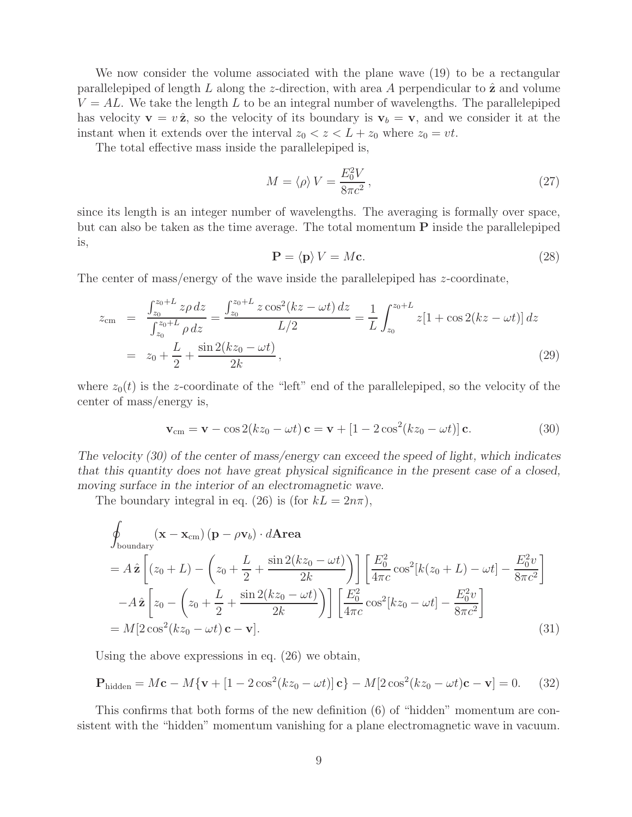We now consider the volume associated with the plane wave  $(19)$  to be a rectangular parallelepiped of length L along the z-direction, with area A perpendicular to  $\hat{z}$  and volume  $V = AL$ . We take the length L to be an integral number of wavelengths. The parallelepiped has velocity  $\mathbf{v} = v \hat{\mathbf{z}}$ , so the velocity of its boundary is  $\mathbf{v}_b = \mathbf{v}$ , and we consider it at the instant when it extends over the interval  $z_0 < z < L + z_0$  where  $z_0 = vt$ .

The total effective mass inside the parallelepiped is,

$$
M = \langle \rho \rangle V = \frac{E_0^2 V}{8\pi c^2},\tag{27}
$$

since its length is an integer number of wavelengths. The averaging is formally over space, but can also be taken as the time average. The total momentum **P** inside the parallelepiped is,

$$
\mathbf{P} = \langle \mathbf{p} \rangle V = M\mathbf{c}.\tag{28}
$$

The center of mass/energy of the wave inside the parallelepiped has z-coordinate,

$$
z_{\rm cm} = \frac{\int_{z_0}^{z_0 + L} z \rho \, dz}{\int_{z_0}^{z_0 + L} \rho \, dz} = \frac{\int_{z_0}^{z_0 + L} z \cos^2(kz - \omega t) \, dz}{L/2} = \frac{1}{L} \int_{z_0}^{z_0 + L} z[1 + \cos 2(kz - \omega t)] \, dz
$$
  
=  $z_0 + \frac{L}{2} + \frac{\sin 2(kz_0 - \omega t)}{2k}$ , (29)

where  $z_0(t)$  is the z-coordinate of the "left" end of the parallelepiped, so the velocity of the center of mass/energy is,

$$
\mathbf{v}_{\rm cm} = \mathbf{v} - \cos 2(kz_0 - \omega t) \mathbf{c} = \mathbf{v} + [1 - 2\cos^2(kz_0 - \omega t)] \mathbf{c}.
$$
 (30)

*The velocity (30) of the center of mass/energy can exceed the speed of light, which indicates that this quantity does not have great physical significance in the present case of a closed, moving surface in the interior of an electromagnetic wave.*

The boundary integral in eq. (26) is (for  $k = 2n\pi$ ),

$$
\oint_{\text{boundary}} (\mathbf{x} - \mathbf{x}_{\text{cm}}) (\mathbf{p} - \rho \mathbf{v}_b) \cdot d\mathbf{Area} \n= A \hat{\mathbf{z}} \left[ (z_0 + L) - \left( z_0 + \frac{L}{2} + \frac{\sin 2(kz_0 - \omega t)}{2k} \right) \right] \left[ \frac{E_0^2}{4\pi c} \cos^2[k(z_0 + L) - \omega t] - \frac{E_0^2 v}{8\pi c^2} \right] \n- A \hat{\mathbf{z}} \left[ z_0 - \left( z_0 + \frac{L}{2} + \frac{\sin 2(kz_0 - \omega t)}{2k} \right) \right] \left[ \frac{E_0^2}{4\pi c} \cos^2[kz_0 - \omega t] - \frac{E_0^2 v}{8\pi c^2} \right] \n= M[2 \cos^2(kz_0 - \omega t) \mathbf{c} - \mathbf{v}].
$$
\n(31)

Using the above expressions in eq. (26) we obtain,

$$
\mathbf{P}_{\text{hidden}} = M\mathbf{c} - M\{\mathbf{v} + [1 - 2\cos^2(kz_0 - \omega t)]\mathbf{c}\} - M[2\cos^2(kz_0 - \omega t)\mathbf{c} - \mathbf{v}] = 0. \tag{32}
$$

This confirms that both forms of the new definition (6) of "hidden" momentum are consistent with the "hidden" momentum vanishing for a plane electromagnetic wave in vacuum.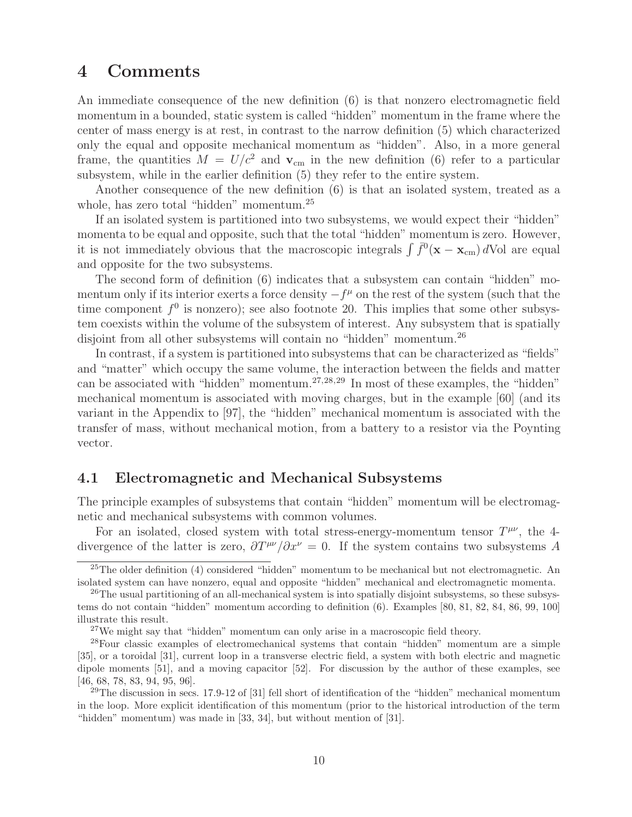## **4 Comments**

An immediate consequence of the new definition (6) is that nonzero electromagnetic field momentum in a bounded, static system is called "hidden" momentum in the frame where the center of mass energy is at rest, in contrast to the narrow definition (5) which characterized only the equal and opposite mechanical momentum as "hidden". Also, in a more general frame, the quantities  $M = U/c^2$  and  $v_{cm}$  in the new definition (6) refer to a particular subsystem, while in the earlier definition (5) they refer to the entire system.

Another consequence of the new definition (6) is that an isolated system, treated as a whole, has zero total "hidden" momentum.<sup>25</sup>

If an isolated system is partitioned into two subsystems, we would expect their "hidden" momenta to be equal and opposite, such that the total "hidden" momentum is zero. However, it is not immediately obvious that the macroscopic integrals  $\int \bar{f}^0(\mathbf{x} - \mathbf{x}_{cm}) d$ Vol are equal and opposite for the two subsystems.

The second form of definition (6) indicates that a subsystem can contain "hidden" momentum only if its interior exerts a force density  $-f^{\mu}$  on the rest of the system (such that the time component  $f^0$  is nonzero); see also footnote 20. This implies that some other subsystem coexists within the volume of the subsystem of interest. Any subsystem that is spatially disjoint from all other subsystems will contain no "hidden" momentum.<sup>26</sup>

In contrast, if a system is partitioned into subsystems that can be characterized as "fields" and "matter" which occupy the same volume, the interaction between the fields and matter can be associated with "hidden" momentum.<sup>27,28,29</sup> In most of these examples, the "hidden" mechanical momentum is associated with moving charges, but in the example [60] (and its variant in the Appendix to [97], the "hidden" mechanical momentum is associated with the transfer of mass, without mechanical motion, from a battery to a resistor via the Poynting vector.

### **4.1 Electromagnetic and Mechanical Subsystems**

The principle examples of subsystems that contain "hidden" momentum will be electromagnetic and mechanical subsystems with common volumes.

For an isolated, closed system with total stress-energy-momentum tensor  $T^{\mu\nu}$ , the 4divergence of the latter is zero,  $\partial T^{\mu\nu}/\partial x^{\nu} = 0$ . If the system contains two subsystems A

<sup>&</sup>lt;sup>25</sup>The older definition  $(4)$  considered "hidden" momentum to be mechanical but not electromagnetic. An isolated system can have nonzero, equal and opposite "hidden" mechanical and electromagnetic momenta.

 $^{26}$ The usual partitioning of an all-mechanical system is into spatially disjoint subsystems, so these subsystems do not contain "hidden" momentum according to definition (6). Examples [80, 81, 82, 84, 86, 99, 100] illustrate this result.

<sup>&</sup>lt;sup>27</sup>We might say that "hidden" momentum can only arise in a macroscopic field theory.

<sup>28</sup>Four classic examples of electromechanical systems that contain "hidden" momentum are a simple [35], or a toroidal [31], current loop in a transverse electric field, a system with both electric and magnetic dipole moments [51], and a moving capacitor [52]. For discussion by the author of these examples, see [46, 68, 78, 83, 94, 95, 96].

<sup>&</sup>lt;sup>29</sup>The discussion in secs. 17.9-12 of [31] fell short of identification of the "hidden" mechanical momentum in the loop. More explicit identification of this momentum (prior to the historical introduction of the term "hidden" momentum) was made in [33, 34], but without mention of [31].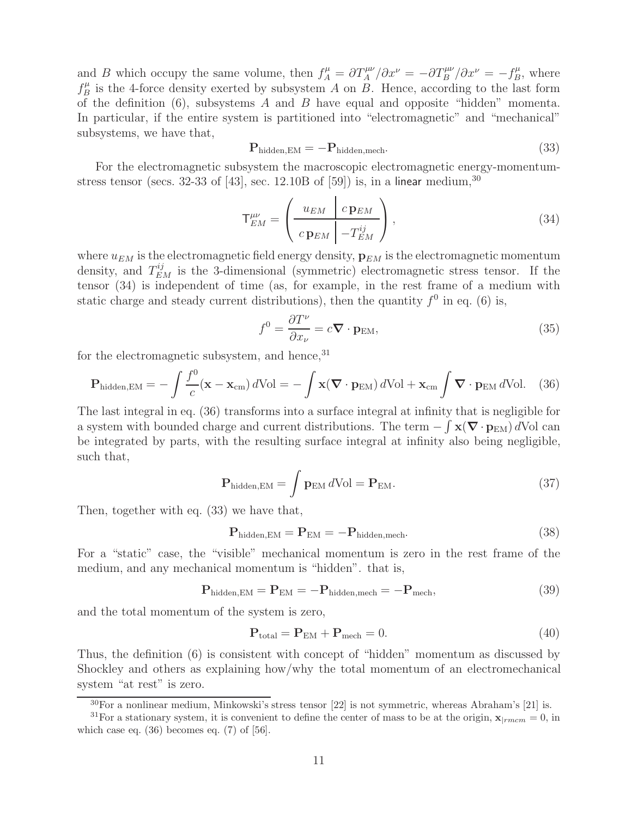and B which occupy the same volume, then  $f_A^{\mu} = \partial T_A^{\mu\nu}/\partial x^{\nu} = -\partial T_B^{\mu\nu}/\partial x^{\nu} = -f_B^{\mu}$ , where  $f_B^{\mu}$  is the 4-force density exerted by subsystem A on B. Hence, according to the last form of the definition  $(6)$ , subsystems A and B have equal and opposite "hidden" momenta. In particular, if the entire system is partitioned into "electromagnetic" and "mechanical" subsystems, we have that,

$$
\mathbf{P}_{\text{hidden,EM}} = -\mathbf{P}_{\text{hidden,mech}}.\tag{33}
$$

For the electromagnetic subsystem the macroscopic electromagnetic energy-momentumstress tensor (secs. 32-33 of [43], sec. 12.10B of [59]) is, in a linear medium,  $30$ 

$$
\mathsf{T}^{\mu\nu}_{EM} = \left(\begin{array}{c|c} u_{EM} & c \mathbf{p}_{EM} \\ \hline c \mathbf{p}_{EM} & -T^{ij}_{EM} \end{array}\right),\tag{34}
$$

where  $u_{EM}$  is the electromagnetic field energy density,  $\mathbf{p}_{EM}$  is the electromagnetic momentum density, and  $T_{EM}^{ij}$  is the 3-dimensional (symmetric) electromagnetic stress tensor. If the tensor (34) is independent of time (as, for example, in the rest frame of a medium with static charge and steady current distributions), then the quantity  $f^0$  in eq. (6) is,

$$
f^{0} = \frac{\partial T^{\nu}}{\partial x_{\nu}} = c \nabla \cdot \mathbf{p}_{\text{EM}},
$$
\n(35)

for the electromagnetic subsystem, and hence,  $31$ 

$$
\mathbf{P}_{\text{hidden,EM}} = -\int \frac{f^0}{c} (\mathbf{x} - \mathbf{x}_{\text{cm}}) \, d\text{Vol} = -\int \mathbf{x} (\nabla \cdot \mathbf{p}_{\text{EM}}) \, d\text{Vol} + \mathbf{x}_{\text{cm}} \int \nabla \cdot \mathbf{p}_{\text{EM}} \, d\text{Vol}. \tag{36}
$$

The last integral in eq. (36) transforms into a surface integral at infinity that is negligible for a system with bounded charge and current distributions. The term  $-\int \mathbf{x}(\nabla \cdot \mathbf{p}_{EM}) dVol$  can be integrated by parts, with the resulting surface integral at infinity also being negligible, such that,

$$
\mathbf{P}_{\text{hidden,EM}} = \int \mathbf{p}_{\text{EM}} \, d\text{Vol} = \mathbf{P}_{\text{EM}}.\tag{37}
$$

Then, together with eq. (33) we have that,

$$
\mathbf{P}_{\text{hidden,EM}} = \mathbf{P}_{\text{EM}} = -\mathbf{P}_{\text{hidden,mech}}.\tag{38}
$$

For a "static" case, the "visible" mechanical momentum is zero in the rest frame of the medium, and any mechanical momentum is "hidden". that is,

$$
\mathbf{P}_{\text{hidden,EM}} = \mathbf{P}_{\text{EM}} = -\mathbf{P}_{\text{hidden,mech}} = -\mathbf{P}_{\text{mech}},\tag{39}
$$

and the total momentum of the system is zero,

$$
\mathbf{P}_{\text{total}} = \mathbf{P}_{\text{EM}} + \mathbf{P}_{\text{mech}} = 0. \tag{40}
$$

Thus, the definition (6) is consistent with concept of "hidden" momentum as discussed by Shockley and others as explaining how/why the total momentum of an electromechanical system "at rest" is zero.

 $30\text{For a nonlinear medium, Minkowski's stress tensor } [22]$  is not symmetric, whereas Abraham's [21] is.

<sup>&</sup>lt;sup>31</sup>For a stationary system, it is convenient to define the center of mass to be at the origin,  $\mathbf{x}_{|rmem} = 0$ , in which case eq.  $(36)$  becomes eq.  $(7)$  of  $[56]$ .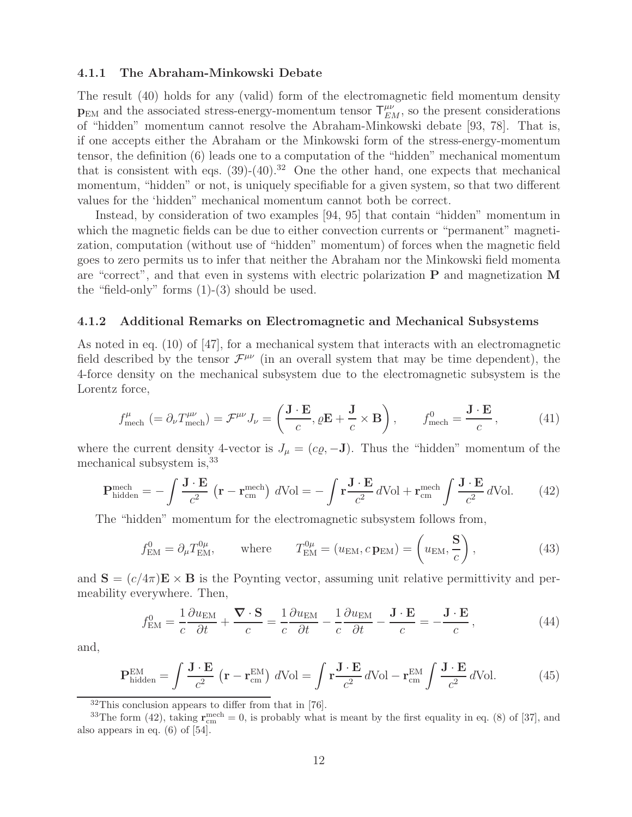#### **4.1.1 The Abraham-Minkowski Debate**

The result (40) holds for any (valid) form of the electromagnetic field momentum density  $p_{EM}$  and the associated stress-energy-momentum tensor  $T_{EM}^{\mu\nu}$ , so the present considerations of "hidden" momentum cannot resolve the Abraham-Minkowski debate [93, 78]. That is, if one accepts either the Abraham or the Minkowski form of the stress-energy-momentum tensor, the definition (6) leads one to a computation of the "hidden" mechanical momentum that is consistent with eqs.  $(39)-(40).^{32}$  One the other hand, one expects that mechanical momentum, "hidden" or not, is uniquely specifiable for a given system, so that two different values for the 'hidden" mechanical momentum cannot both be correct.

Instead, by consideration of two examples [94, 95] that contain "hidden" momentum in which the magnetic fields can be due to either convection currents or "permanent" magnetization, computation (without use of "hidden" momentum) of forces when the magnetic field goes to zero permits us to infer that neither the Abraham nor the Minkowski field momenta are "correct", and that even in systems with electric polarization **P** and magnetization **M** the "field-only" forms (1)-(3) should be used.

#### **4.1.2 Additional Remarks on Electromagnetic and Mechanical Subsystems**

As noted in eq. (10) of [47], for a mechanical system that interacts with an electromagnetic field described by the tensor  $\mathcal{F}^{\mu\nu}$  (in an overall system that may be time dependent), the 4-force density on the mechanical subsystem due to the electromagnetic subsystem is the Lorentz force,

$$
f_{\text{mech}}^{\mu} \left(= \partial_{\nu} T_{\text{mech}}^{\mu \nu} \right) = \mathcal{F}^{\mu \nu} J_{\nu} = \left(\frac{\mathbf{J} \cdot \mathbf{E}}{c}, \varrho \mathbf{E} + \frac{\mathbf{J}}{c} \times \mathbf{B}\right), \qquad f_{\text{mech}}^{0} = \frac{\mathbf{J} \cdot \mathbf{E}}{c}, \tag{41}
$$

where the current density 4-vector is  $J_{\mu} = (c\rho, -\mathbf{J})$ . Thus the "hidden" momentum of the mechanical subsystem is,<sup>33</sup>

$$
\mathbf{P}_{\text{hidden}}^{\text{mech}} = -\int \frac{\mathbf{J} \cdot \mathbf{E}}{c^2} \left( \mathbf{r} - \mathbf{r}_{\text{cm}}^{\text{mech}} \right) d\text{Vol} = -\int \mathbf{r} \frac{\mathbf{J} \cdot \mathbf{E}}{c^2} d\text{Vol} + \mathbf{r}_{\text{cm}}^{\text{mech}} \int \frac{\mathbf{J} \cdot \mathbf{E}}{c^2} d\text{Vol}. \tag{42}
$$

The "hidden" momentum for the electromagnetic subsystem follows from,

$$
f_{\text{EM}}^0 = \partial_{\mu} T_{\text{EM}}^{0\mu}, \qquad \text{where} \qquad T_{\text{EM}}^{0\mu} = (u_{\text{EM}}, c_{\text{PEM}}) = \left(u_{\text{EM}}, \frac{\mathbf{S}}{c}\right), \tag{43}
$$

and  $\mathbf{S} = (c/4\pi)\mathbf{E} \times \mathbf{B}$  is the Poynting vector, assuming unit relative permittivity and permeability everywhere. Then,

$$
f_{\text{EM}}^0 = \frac{1}{c} \frac{\partial u_{\text{EM}}}{\partial t} + \frac{\nabla \cdot \mathbf{S}}{c} = \frac{1}{c} \frac{\partial u_{\text{EM}}}{\partial t} - \frac{1}{c} \frac{\partial u_{\text{EM}}}{\partial t} - \frac{\mathbf{J} \cdot \mathbf{E}}{c} = -\frac{\mathbf{J} \cdot \mathbf{E}}{c},\tag{44}
$$

and,

$$
\mathbf{P}_{\text{hidden}}^{\text{EM}} = \int \frac{\mathbf{J} \cdot \mathbf{E}}{c^2} \left( \mathbf{r} - \mathbf{r}_{\text{cm}}^{\text{EM}} \right) d\text{Vol} = \int \mathbf{r} \frac{\mathbf{J} \cdot \mathbf{E}}{c^2} d\text{Vol} - \mathbf{r}_{\text{cm}}^{\text{EM}} \int \frac{\mathbf{J} \cdot \mathbf{E}}{c^2} d\text{Vol}. \tag{45}
$$

<sup>32</sup>This conclusion appears to differ from that in [76].

<sup>&</sup>lt;sup>33</sup>The form (42), taking  $\mathbf{r}_{cm}^{\text{mech}} = 0$ , is probably what is meant by the first equality in eq. (8) of [37], and also appears in eq. (6) of [54].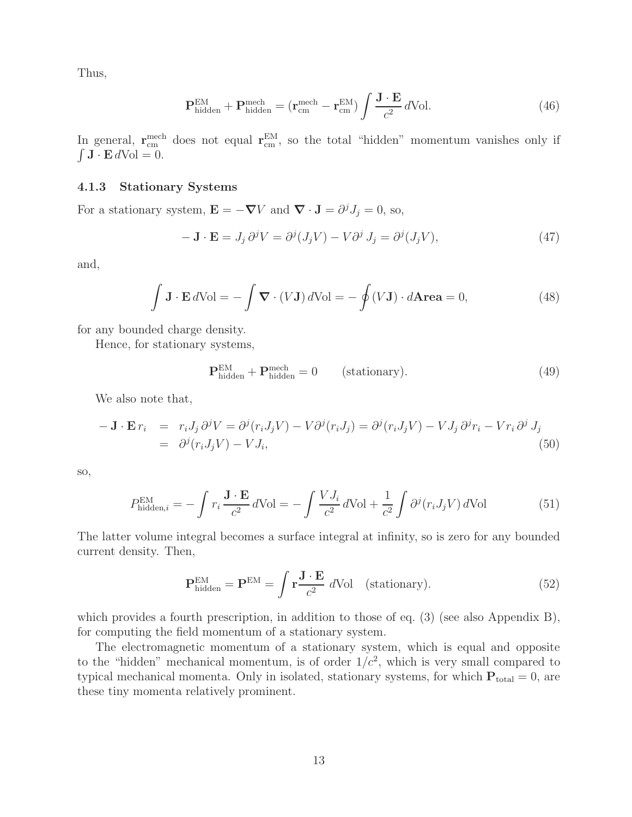Thus,

$$
\mathbf{P}_{\text{hidden}}^{\text{EM}} + \mathbf{P}_{\text{hidden}}^{\text{mech}} = (\mathbf{r}_{\text{cm}}^{\text{mech}} - \mathbf{r}_{\text{cm}}^{\text{EM}}) \int \frac{\mathbf{J} \cdot \mathbf{E}}{c^2} d\text{Vol}. \tag{46}
$$

In general,  $\mathbf{r}_{cm}^{\text{mech}}$  does not equal  $\mathbf{r}_{cm}^{\text{EM}}$ , so the total "hidden" momentum vanishes only if  $\int$  **J**  $\cdot$  **E**  $d$ Vol = 0.

#### **4.1.3 Stationary Systems**

For a stationary system,  $\mathbf{E} = -\nabla V$  and  $\nabla \cdot \mathbf{J} = \partial^j J_j = 0$ , so,

$$
- \mathbf{J} \cdot \mathbf{E} = J_j \, \partial^j V = \partial^j (J_j V) - V \partial^j J_j = \partial^j (J_j V), \tag{47}
$$

and,

$$
\int \mathbf{J} \cdot \mathbf{E} \, d\text{Vol} = -\int \mathbf{\nabla} \cdot (V \mathbf{J}) \, d\text{Vol} = -\oint (V \mathbf{J}) \cdot d\mathbf{Area} = 0,\tag{48}
$$

for any bounded charge density.

Hence, for stationary systems,

$$
\mathbf{P}_{\text{hidden}}^{\text{EM}} + \mathbf{P}_{\text{hidden}}^{\text{mech}} = 0 \qquad \text{(stationary)}.
$$
 (49)

We also note that,

$$
- \mathbf{J} \cdot \mathbf{E} r_i = r_i J_j \partial^j V = \partial^j (r_i J_j V) - V \partial^j (r_i J_j) = \partial^j (r_i J_j V) - V J_j \partial^j r_i - V r_i \partial^j J_j
$$
  
=  $\partial^j (r_i J_j V) - V J_i,$  (50)

so,

$$
P_{\text{hidden},i}^{\text{EM}} = -\int r_i \frac{\mathbf{J} \cdot \mathbf{E}}{c^2} d\text{Vol} = -\int \frac{V J_i}{c^2} d\text{Vol} + \frac{1}{c^2} \int \partial^j (r_i J_j V) d\text{Vol}
$$
(51)

The latter volume integral becomes a surface integral at infinity, so is zero for any bounded current density. Then,

$$
\mathbf{P}_{\text{hidden}}^{\text{EM}} = \mathbf{P}^{\text{EM}} = \int \mathbf{r} \frac{\mathbf{J} \cdot \mathbf{E}}{c^2} \, d\text{Vol} \quad \text{(stationary)}.
$$

which provides a fourth prescription, in addition to those of eq.  $(3)$  (see also Appendix B), for computing the field momentum of a stationary system.

The electromagnetic momentum of a stationary system, which is equal and opposite to the "hidden" mechanical momentum, is of order  $1/c^2$ , which is very small compared to typical mechanical momenta. Only in isolated, stationary systems, for which  $P_{total} = 0$ , are these tiny momenta relatively prominent.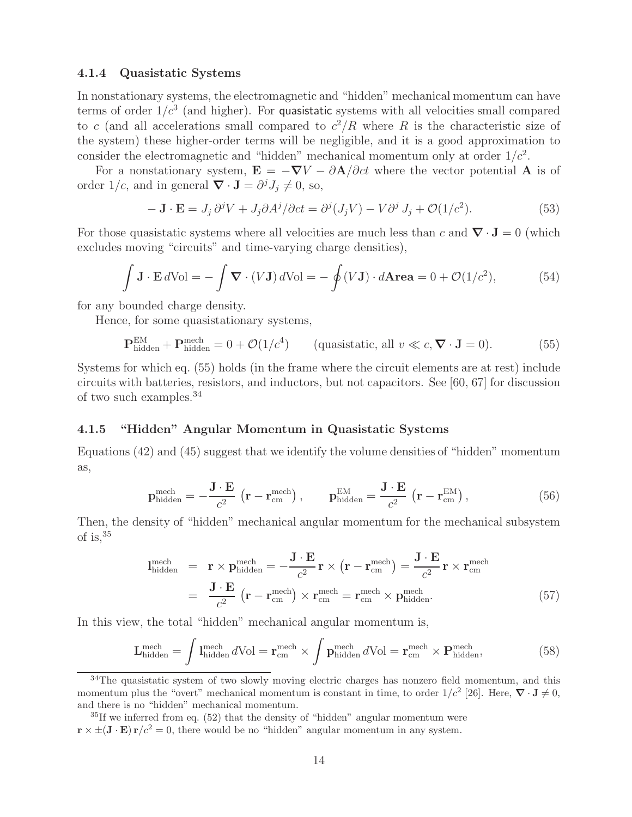#### **4.1.4 Quasistatic Systems**

In nonstationary systems, the electromagnetic and "hidden" mechanical momentum can have terms of order  $1/c<sup>3</sup>$  (and higher). For quasistatic systems with all velocities small compared to c (and all accelerations small compared to  $c^2/R$  where R is the characteristic size of the system) these higher-order terms will be negligible, and it is a good approximation to consider the electromagnetic and "hidden" mechanical momentum only at order  $1/c<sup>2</sup>$ .

For a nonstationary system,  $\mathbf{E} = -\nabla V - \partial \mathbf{A}/\partial ct$  where the vector potential **A** is of order  $1/c$ , and in general  $\nabla \cdot \mathbf{J} = \partial^j J_j \neq 0$ , so,

$$
-\mathbf{J} \cdot \mathbf{E} = J_j \,\partial^j V + J_j \partial A^j / \partial ct = \partial^j (J_j V) - V \partial^j J_j + \mathcal{O}(1/c^2). \tag{53}
$$

For those quasistatic systems where all velocities are much less than c and  $\nabla \cdot \mathbf{J} = 0$  (which excludes moving "circuits" and time-varying charge densities),

$$
\int \mathbf{J} \cdot \mathbf{E} \, d\text{Vol} = -\int \mathbf{\nabla} \cdot (V \mathbf{J}) \, d\text{Vol} = -\oint (V \mathbf{J}) \cdot d\mathbf{Area} = 0 + \mathcal{O}(1/c^2),\tag{54}
$$

for any bounded charge density.

Hence, for some quasistationary systems,

$$
\mathbf{P}_{\text{hidden}}^{\text{EM}} + \mathbf{P}_{\text{hidden}}^{\text{mech}} = 0 + \mathcal{O}(1/c^4) \qquad \text{(quasistatic, all } v \ll c, \nabla \cdot \mathbf{J} = 0). \tag{55}
$$

Systems for which eq. (55) holds (in the frame where the circuit elements are at rest) include circuits with batteries, resistors, and inductors, but not capacitors. See [60, 67] for discussion of two such examples.<sup>34</sup>

#### **4.1.5 "Hidden" Angular Momentum in Quasistatic Systems**

Equations (42) and (45) suggest that we identify the volume densities of "hidden" momentum as,

$$
\mathbf{p}_{\text{hidden}}^{\text{mech}} = -\frac{\mathbf{J} \cdot \mathbf{E}}{c^2} \left( \mathbf{r} - \mathbf{r}_{\text{cm}}^{\text{mech}} \right), \qquad \mathbf{p}_{\text{hidden}}^{\text{EM}} = \frac{\mathbf{J} \cdot \mathbf{E}}{c^2} \left( \mathbf{r} - \mathbf{r}_{\text{cm}}^{\text{EM}} \right), \tag{56}
$$

Then, the density of "hidden" mechanical angular momentum for the mechanical subsystem of is,<sup>35</sup>

$$
\mathbf{l}_{\text{hidden}}^{\text{mech}} = \mathbf{r} \times \mathbf{p}_{\text{hidden}}^{\text{mech}} = -\frac{\mathbf{J} \cdot \mathbf{E}}{c^2} \mathbf{r} \times (\mathbf{r} - \mathbf{r}_{\text{cm}}^{\text{mech}}) = \frac{\mathbf{J} \cdot \mathbf{E}}{c^2} \mathbf{r} \times \mathbf{r}_{\text{cm}}^{\text{mech}} \n= \frac{\mathbf{J} \cdot \mathbf{E}}{c^2} (\mathbf{r} - \mathbf{r}_{\text{cm}}^{\text{mech}}) \times \mathbf{r}_{\text{cm}}^{\text{mech}} = \mathbf{r}_{\text{cm}}^{\text{mech}} \times \mathbf{p}_{\text{hidden}}^{\text{mech}}.
$$
\n(57)

In this view, the total "hidden" mechanical angular momentum is,

$$
\mathbf{L}_{\text{hidden}}^{\text{mech}} = \int l_{\text{hidden}}^{\text{mech}} d\text{Vol} = \mathbf{r}_{\text{cm}}^{\text{mech}} \times \int \mathbf{p}_{\text{hidden}}^{\text{mech}} d\text{Vol} = \mathbf{r}_{\text{cm}}^{\text{mech}} \times \mathbf{P}_{\text{hidden}}^{\text{mech}},\tag{58}
$$

 $34$ The quasistatic system of two slowly moving electric charges has nonzero field momentum, and this momentum plus the "overt" mechanical momentum is constant in time, to order  $1/c^2$  [26]. Here,  $\nabla \cdot \mathbf{J} \neq 0$ , and there is no "hidden" mechanical momentum.

 ${}^{35}$ If we inferred from eq. (52) that the density of "hidden" angular momentum were  $\mathbf{r} \times \pm (\mathbf{J} \cdot \mathbf{E}) \mathbf{r}/c^2 = 0$ , there would be no "hidden" angular momentum in any system.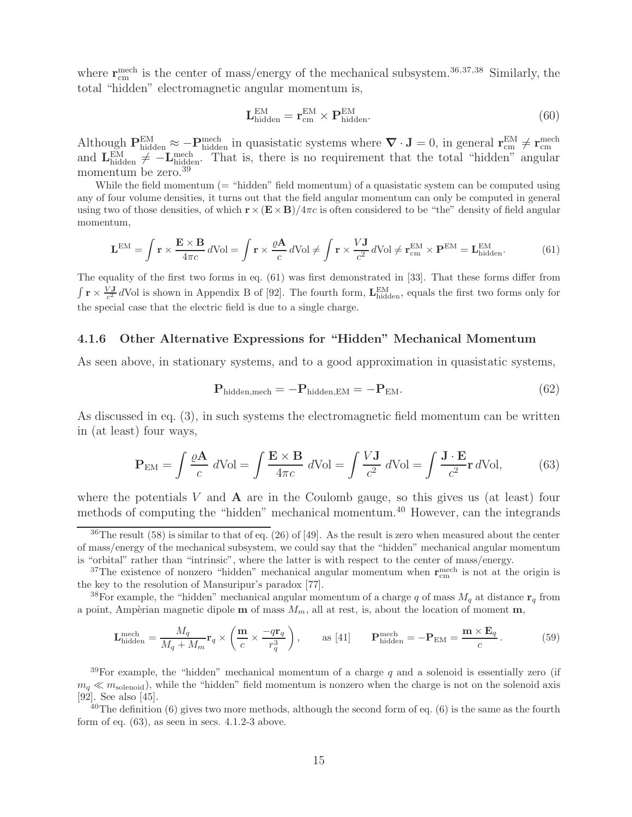where  $\mathbf{r}_{\text{cm}}^{\text{mech}}$  is the center of mass/energy of the mechanical subsystem.<sup>36,37,38</sup> Similarly, the total "hidden" electromagnetic angular momentum is,

$$
\mathbf{L}_{\text{hidden}}^{\text{EM}} = \mathbf{r}_{\text{cm}}^{\text{EM}} \times \mathbf{P}_{\text{hidden}}^{\text{EM}}.
$$
\n(60)

Although  $\mathbf{P}_{\text{hidden}}^{\text{EM}} \approx -\mathbf{P}_{\text{hidden}}^{\text{mech}}$  in quasistatic systems where  $\nabla \cdot \mathbf{J} = 0$ , in general  $\mathbf{r}_{\text{cm}}^{\text{EM}} \neq \mathbf{r}_{\text{cm}}^{\text{mech}}$ <br>and  $\mathbf{L}_{\text{hidden}}^{\text{EM}} \neq -\mathbf{L}_{\text{hidden}}^{\text{mech}}$ . That is, there is no requ momentum be zero.<sup>39</sup>

While the field momentum  $($  = "hidden" field momentum) of a quasistatic system can be computed using any of four volume densities, it turns out that the field angular momentum can only be computed in general using two of those densities, of which  $\mathbf{r}\times(\mathbf{E}\times\mathbf{B})/4\pi c$  is often considered to be "the" density of field angular momentum,

$$
\mathbf{L}^{\text{EM}} = \int \mathbf{r} \times \frac{\mathbf{E} \times \mathbf{B}}{4\pi c} d\text{Vol} = \int \mathbf{r} \times \frac{\varrho \mathbf{A}}{c} d\text{Vol} \neq \int \mathbf{r} \times \frac{V \mathbf{J}}{c^2} d\text{Vol} \neq \mathbf{r}_{\text{cm}}^{\text{EM}} \times \mathbf{P}^{\text{EM}} = \mathbf{L}_{\text{hidden}}^{\text{EM}}.
$$
 (61)

The equality of the first two forms in eq. (61) was first demonstrated in [33]. That these forms differ from  $\int \mathbf{r} \times \frac{V \mathbf{J}}{c^2} dV$  is shown in Appendix B of [92]. The fourth form,  $\mathbf{L}_{\text{hidden}}^{\text{EM}}$ , equals the first two forms only for the special case that the electric field is due to a single charge.

#### **4.1.6 Other Alternative Expressions for "Hidden" Mechanical Momentum**

As seen above, in stationary systems, and to a good approximation in quasistatic systems,

$$
\mathbf{P}_{\text{hidden,mech}} = -\mathbf{P}_{\text{hidden,EM}} = -\mathbf{P}_{\text{EM}}.\tag{62}
$$

As discussed in eq. (3), in such systems the electromagnetic field momentum can be written in (at least) four ways,

$$
\mathbf{P}_{\text{EM}} = \int \frac{\varrho \mathbf{A}}{c} \, d\text{Vol} = \int \frac{\mathbf{E} \times \mathbf{B}}{4\pi c} \, d\text{Vol} = \int \frac{V \mathbf{J}}{c^2} \, d\text{Vol} = \int \frac{\mathbf{J} \cdot \mathbf{E}}{c^2} \mathbf{r} \, d\text{Vol},\tag{63}
$$

where the potentials  $V$  and  $\bf{A}$  are in the Coulomb gauge, so this gives us (at least) four methods of computing the "hidden" mechanical momentum.<sup>40</sup> However, can the integrands

<sup>38</sup>For example, the "hidden" mechanical angular momentum of a charge q of mass  $M_q$  at distance  $\mathbf{r}_q$  from a point, Ampèrian magnetic dipole  $\mathbf{m}$  of mass  $M_m$ , all at rest, is, about the location of moment  $\mathbf{m}$ ,

$$
\mathbf{L}_{\text{hidden}}^{\text{mech}} = \frac{M_q}{M_q + M_m} \mathbf{r}_q \times \left(\frac{\mathbf{m}}{c} \times \frac{-q \mathbf{r}_q}{r_q^3}\right), \qquad \text{as [41]} \qquad \mathbf{P}_{\text{hidden}}^{\text{mech}} = -\mathbf{P}_{\text{EM}} = \frac{\mathbf{m} \times \mathbf{E}_q}{c} \,.
$$

<sup>39</sup>For example, the "hidden" mechanical momentum of a charge q and a solenoid is essentially zero (if  $m_q \ll m_{\text{solenoid}}$ , while the "hidden" field momentum is nonzero when the charge is not on the solenoid axis [92]. See also [45].

 $^{40}$ The definition (6) gives two more methods, although the second form of eq. (6) is the same as the fourth form of eq.  $(63)$ , as seen in secs.  $4.1.2-3$  above.

<sup>&</sup>lt;sup>36</sup>The result (58) is similar to that of eq. (26) of [49]. As the result is zero when measured about the center of mass/energy of the mechanical subsystem, we could say that the "hidden" mechanical angular momentum is "orbital" rather than "intrinsic", where the latter is with respect to the center of mass/energy.

<sup>&</sup>lt;sup>37</sup>The existence of nonzero "hidden" mechanical angular momentum when  $\mathbf{r}_{cm}^{\text{mech}}$  is not at the origin is the key to the resolution of Mansuripur's paradox [77].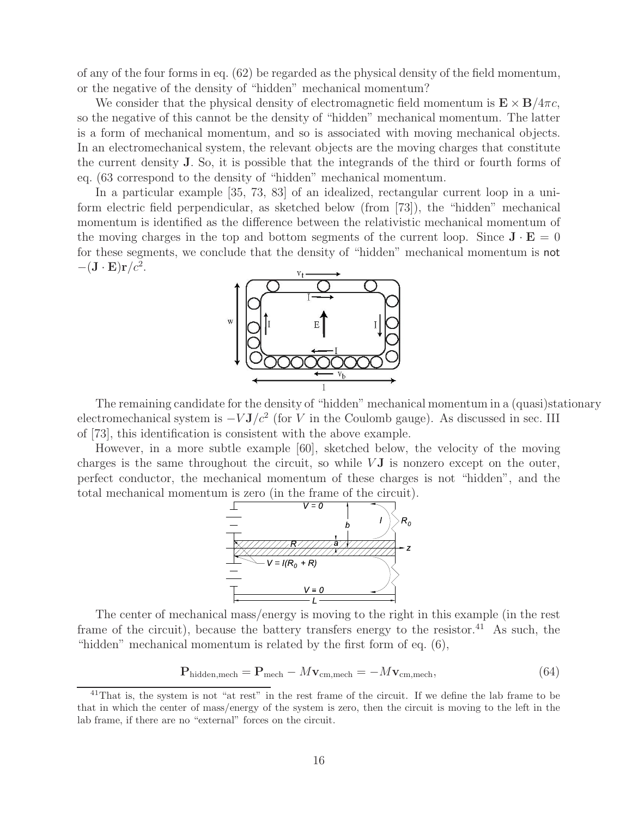of any of the four forms in eq. (62) be regarded as the physical density of the field momentum, or the negative of the density of "hidden" mechanical momentum?

We consider that the physical density of electromagnetic field momentum is  $\mathbf{E} \times \mathbf{B}/4\pi c$ , so the negative of this cannot be the density of "hidden" mechanical momentum. The latter is a form of mechanical momentum, and so is associated with moving mechanical objects. In an electromechanical system, the relevant objects are the moving charges that constitute the current density **J**. So, it is possible that the integrands of the third or fourth forms of eq. (63 correspond to the density of "hidden" mechanical momentum.

In a particular example [35, 73, 83] of an idealized, rectangular current loop in a uniform electric field perpendicular, as sketched below (from [73]), the "hidden" mechanical momentum is identified as the difference between the relativistic mechanical momentum of the moving charges in the top and bottom segments of the current loop. Since  $\mathbf{J} \cdot \mathbf{E} = 0$ for these segments, we conclude that the density of "hidden" mechanical momentum is not  $-(\mathbf{J} \cdot \mathbf{E})\mathbf{r}/c^2$ .



The remaining candidate for the density of "hidden" mechanical momentum in a (quasi)stationary electromechanical system is  $-VJ/c^2$  (for V in the Coulomb gauge). As discussed in sec. III of [73], this identification is consistent with the above example.

However, in a more subtle example [60], sketched below, the velocity of the moving charges is the same throughout the circuit, so while  $VJ$  is nonzero except on the outer, perfect conductor, the mechanical momentum of these charges is not "hidden", and the total mechanical momentum is zero (in the frame of the circuit).



The center of mechanical mass/energy is moving to the right in this example (in the rest frame of the circuit), because the battery transfers energy to the resistor.<sup>41</sup> As such, the "hidden" mechanical momentum is related by the first form of eq.  $(6)$ ,

$$
\mathbf{P}_{\text{hidden,mech}} = \mathbf{P}_{\text{mech}} - M\mathbf{v}_{\text{cm,mech}} = -M\mathbf{v}_{\text{cm,mech}},\tag{64}
$$

<sup>&</sup>lt;sup>41</sup>That is, the system is not "at rest" in the rest frame of the circuit. If we define the lab frame to be that in which the center of mass/energy of the system is zero, then the circuit is moving to the left in the lab frame, if there are no "external" forces on the circuit.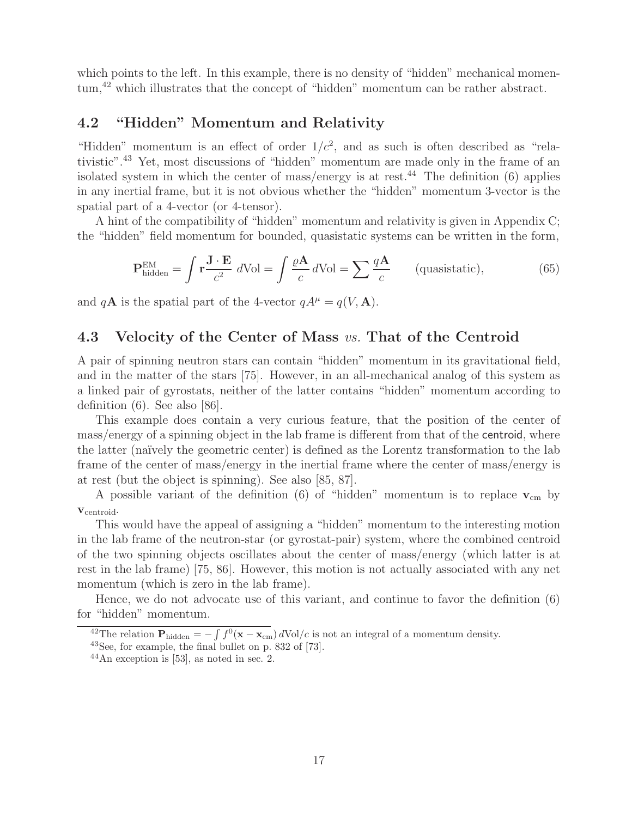which points to the left. In this example, there is no density of "hidden" mechanical momentum,<sup>42</sup> which illustrates that the concept of "hidden" momentum can be rather abstract.

### **4.2 "Hidden" Momentum and Relativity**

"Hidden" momentum is an effect of order  $1/c^2$ , and as such is often described as "relativistic".<sup>43</sup> Yet, most discussions of "hidden" momentum are made only in the frame of an isolated system in which the center of mass/energy is at rest.<sup>44</sup> The definition  $(6)$  applies in any inertial frame, but it is not obvious whether the "hidden" momentum 3-vector is the spatial part of a 4-vector (or 4-tensor).

A hint of the compatibility of "hidden" momentum and relativity is given in Appendix C; the "hidden" field momentum for bounded, quasistatic systems can be written in the form,

$$
\mathbf{P}_{\text{hidden}}^{\text{EM}} = \int \mathbf{r} \frac{\mathbf{J} \cdot \mathbf{E}}{c^2} \, d\text{Vol} = \int \frac{\varrho \mathbf{A}}{c} \, d\text{Vol} = \sum \frac{q \mathbf{A}}{c} \qquad \text{(quasistatic)},\tag{65}
$$

and  $q\mathbf{A}$  is the spatial part of the 4-vector  $qA^{\mu} = q(V, \mathbf{A})$ .

### **4.3 Velocity of the Center of Mass** *vs.* **That of the Centroid**

A pair of spinning neutron stars can contain "hidden" momentum in its gravitational field, and in the matter of the stars [75]. However, in an all-mechanical analog of this system as a linked pair of gyrostats, neither of the latter contains "hidden" momentum according to definition  $(6)$ . See also  $|86|$ .

This example does contain a very curious feature, that the position of the center of mass/energy of a spinning object in the lab frame is different from that of the centroid, where the latter (na¨ıvely the geometric center) is defined as the Lorentz transformation to the lab frame of the center of mass/energy in the inertial frame where the center of mass/energy is at rest (but the object is spinning). See also [85, 87].

A possible variant of the definition  $(6)$  of "hidden" momentum is to replace  $\mathbf{v}_{cm}$  by **v**centroid.

This would have the appeal of assigning a "hidden" momentum to the interesting motion in the lab frame of the neutron-star (or gyrostat-pair) system, where the combined centroid of the two spinning objects oscillates about the center of mass/energy (which latter is at rest in the lab frame) [75, 86]. However, this motion is not actually associated with any net momentum (which is zero in the lab frame).

Hence, we do not advocate use of this variant, and continue to favor the definition (6) for "hidden" momentum.

<sup>&</sup>lt;sup>42</sup>The relation  $P_{\text{hidden}} = -\int f^0(\mathbf{x} - \mathbf{x}_{\text{cm}}) d\text{Vol}/c$  is not an integral of a momentum density.

<sup>43</sup>See, for example, the final bullet on p. 832 of [73].

 $^{44}$ An exception is [53], as noted in sec. 2.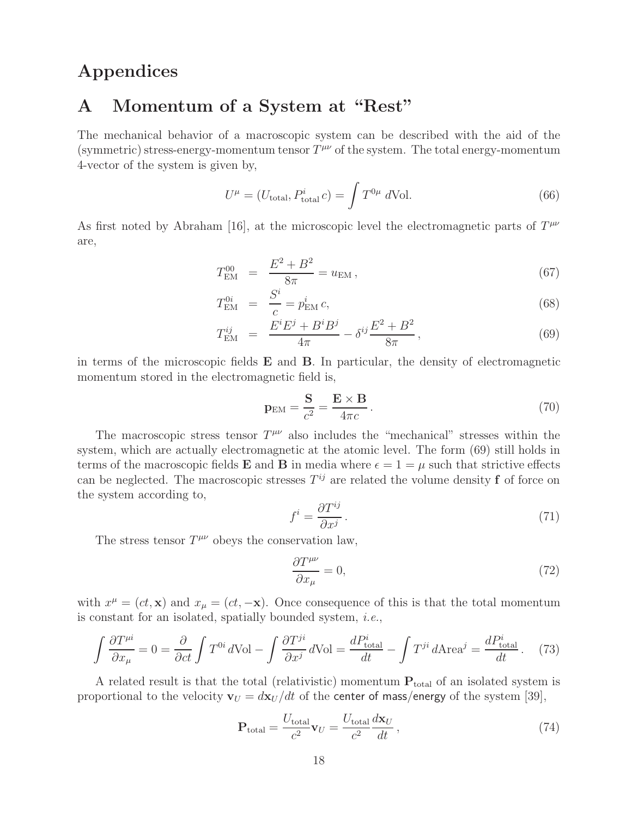# **Appendices**

# **A Momentum of a System at "Rest"**

The mechanical behavior of a macroscopic system can be described with the aid of the (symmetric) stress-energy-momentum tensor  $T^{\mu\nu}$  of the system. The total energy-momentum 4-vector of the system is given by,

$$
U^{\mu} = (U_{\text{total}}, P_{\text{total}}^{i} c) = \int T^{0\mu} d\text{Vol}.
$$
 (66)

As first noted by Abraham [16], at the microscopic level the electromagnetic parts of  $T^{\mu\nu}$ are,

$$
T_{\rm EM}^{00} = \frac{E^2 + B^2}{8\pi} = u_{\rm EM},\qquad (67)
$$

$$
T_{\rm EM}^{0i} = \frac{S^i}{c} = p_{\rm EM}^i c,
$$
\n(68)

$$
T_{\rm EM}^{ij} = \frac{E^i E^j + B^i B^j}{4\pi} - \delta^{ij} \frac{E^2 + B^2}{8\pi},
$$
\n(69)

in terms of the microscopic fields **E** and **B**. In particular, the density of electromagnetic momentum stored in the electromagnetic field is,

$$
\mathbf{p}_{\rm EM} = \frac{\mathbf{S}}{c^2} = \frac{\mathbf{E} \times \mathbf{B}}{4\pi c} \,. \tag{70}
$$

The macroscopic stress tensor  $T^{\mu\nu}$  also includes the "mechanical" stresses within the system, which are actually electromagnetic at the atomic level. The form (69) still holds in terms of the macroscopic fields **E** and **B** in media where  $\epsilon = 1 = \mu$  such that strictive effects can be neglected. The macroscopic stresses  $T^{ij}$  are related the volume density **f** of force on the system according to,

$$
f^i = \frac{\partial T^{ij}}{\partial x^j} \,. \tag{71}
$$

The stress tensor  $T^{\mu\nu}$  obeys the conservation law,

$$
\frac{\partial T^{\mu\nu}}{\partial x_{\mu}} = 0,\tag{72}
$$

with  $x^{\mu} = (ct, \mathbf{x})$  and  $x_{\mu} = (ct, -\mathbf{x})$ . Once consequence of this is that the total momentum is constant for an isolated, spatially bounded system, *i.e.*,

$$
\int \frac{\partial T^{\mu i}}{\partial x_{\mu}} = 0 = \frac{\partial}{\partial ct} \int T^{0i} d\text{Vol} - \int \frac{\partial T^{ji}}{\partial x^{j}} d\text{Vol} = \frac{dP_{\text{total}}^{i}}{dt} - \int T^{ji} d\text{Area}^{j} = \frac{dP_{\text{total}}^{i}}{dt}. \tag{73}
$$

A related result is that the total (relativistic) momentum  $P_{total}$  of an isolated system is proportional to the velocity  $\mathbf{v}_U = d\mathbf{x}_U / dt$  of the center of mass/energy of the system [39],

$$
\mathbf{P}_{\text{total}} = \frac{U_{\text{total}}}{c^2} \mathbf{v}_U = \frac{U_{\text{total}}}{c^2} \frac{d\mathbf{x}_U}{dt},\tag{74}
$$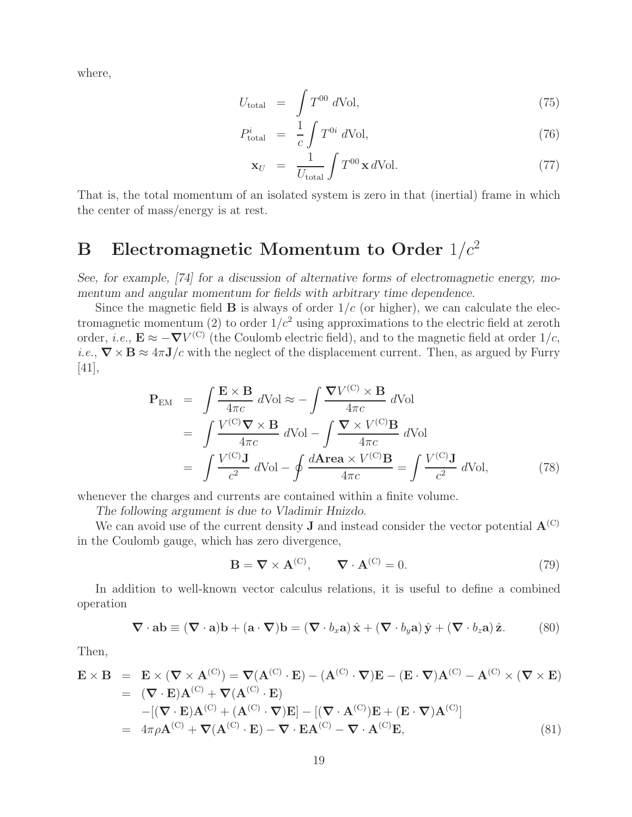where,

$$
U_{\text{total}} = \int T^{00} d\text{Vol}, \qquad (75)
$$

$$
P_{\text{total}}^i = \frac{1}{c} \int T^{0i} d\text{Vol}, \qquad (76)
$$

$$
\mathbf{x}_U = \frac{1}{U_{\text{total}}} \int T^{00} \mathbf{x} \, d\text{Vol.} \tag{77}
$$

That is, the total momentum of an isolated system is zero in that (inertial) frame in which the center of mass/energy is at rest.

# **B** Electromagnetic Momentum to Order  $1/c^2$

*See, for example, [74] for a discussion of alternative forms of electromagnetic energy, momentum and angular momentum for fields with arbitrary time dependence.*

Since the magnetic field **B** is always of order  $1/c$  (or higher), we can calculate the electromagnetic momentum (2) to order  $1/c^2$  using approximations to the electric field at zeroth order, *i.e.*,  $\mathbf{E} \approx -\nabla V^{(C)}$  (the Coulomb electric field), and to the magnetic field at order  $1/c$ , *i.e.*,  $\nabla \times \mathbf{B} \approx 4\pi \mathbf{J}/c$  with the neglect of the displacement current. Then, as argued by Furry [41],

$$
\mathbf{P}_{\text{EM}} = \int \frac{\mathbf{E} \times \mathbf{B}}{4\pi c} d\text{Vol} \approx -\int \frac{\nabla V^{(\text{C})} \times \mathbf{B}}{4\pi c} d\text{Vol} \n= \int \frac{V^{(\text{C})}\nabla \times \mathbf{B}}{4\pi c} d\text{Vol} - \int \frac{\nabla \times V^{(\text{C})}\mathbf{B}}{4\pi c} d\text{Vol} \n= \int \frac{V^{(\text{C})}\mathbf{J}}{c^2} d\text{Vol} - \oint \frac{d\text{Area} \times V^{(\text{C})}\mathbf{B}}{4\pi c} = \int \frac{V^{(\text{C})}\mathbf{J}}{c^2} d\text{Vol},
$$
\n(78)

whenever the charges and currents are contained within a finite volume.

*The following argument is due to Vladimir Hnizdo.*

We can avoid use of the current density **J** and instead consider the vector potential  $\mathbf{A}^{(C)}$ in the Coulomb gauge, which has zero divergence,

$$
\mathbf{B} = \nabla \times \mathbf{A}^{(\mathbf{C})}, \qquad \nabla \cdot \mathbf{A}^{(\mathbf{C})} = 0.
$$
 (79)

In addition to well-known vector calculus relations, it is useful to define a combined operation

$$
\nabla \cdot \mathbf{a} \mathbf{b} \equiv (\nabla \cdot \mathbf{a}) \mathbf{b} + (\mathbf{a} \cdot \nabla) \mathbf{b} = (\nabla \cdot b_x \mathbf{a}) \hat{\mathbf{x}} + (\nabla \cdot b_y \mathbf{a}) \hat{\mathbf{y}} + (\nabla \cdot b_z \mathbf{a}) \hat{\mathbf{z}}.
$$
 (80)

Then,

$$
\mathbf{E} \times \mathbf{B} = \mathbf{E} \times (\nabla \times \mathbf{A}^{(C)}) = \nabla (\mathbf{A}^{(C)} \cdot \mathbf{E}) - (\mathbf{A}^{(C)} \cdot \nabla) \mathbf{E} - (\mathbf{E} \cdot \nabla) \mathbf{A}^{(C)} - \mathbf{A}^{(C)} \times (\nabla \times \mathbf{E})
$$
  
\n
$$
= (\nabla \cdot \mathbf{E}) \mathbf{A}^{(C)} + \nabla (\mathbf{A}^{(C)} \cdot \mathbf{E})
$$
  
\n
$$
- [(\nabla \cdot \mathbf{E}) \mathbf{A}^{(C)} + (\mathbf{A}^{(C)} \cdot \nabla) \mathbf{E}] - [(\nabla \cdot \mathbf{A}^{(C)}) \mathbf{E} + (\mathbf{E} \cdot \nabla) \mathbf{A}^{(C)}]
$$
  
\n
$$
= 4\pi \rho \mathbf{A}^{(C)} + \nabla (\mathbf{A}^{(C)} \cdot \mathbf{E}) - \nabla \cdot \mathbf{E} \mathbf{A}^{(C)} - \nabla \cdot \mathbf{A}^{(C)} \mathbf{E},
$$
 (81)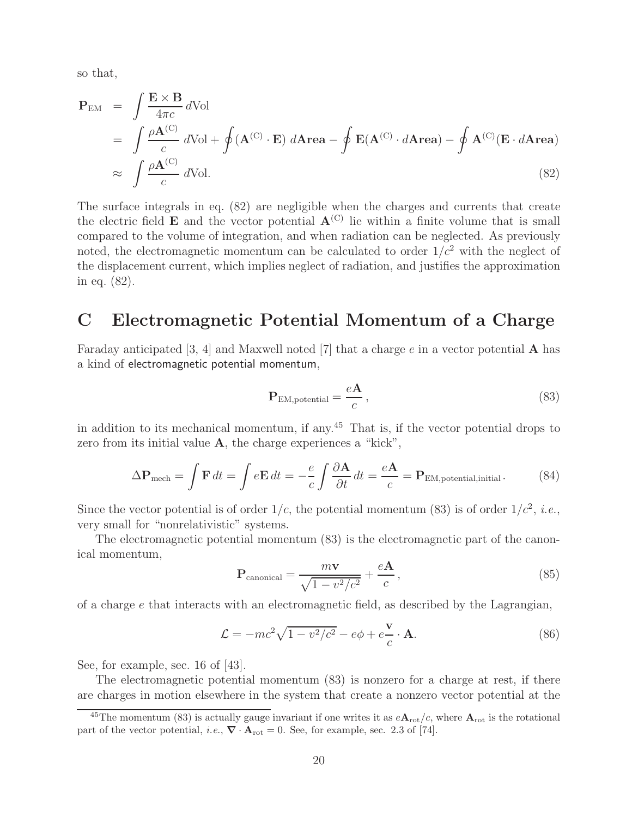so that,

$$
\mathbf{P}_{\text{EM}} = \int \frac{\mathbf{E} \times \mathbf{B}}{4\pi c} d\text{Vol}
$$
\n
$$
= \int \frac{\rho \mathbf{A}^{(C)}}{c} d\text{Vol} + \oint (\mathbf{A}^{(C)} \cdot \mathbf{E}) d\text{Area} - \oint \mathbf{E}(\mathbf{A}^{(C)} \cdot d\text{Area}) - \oint \mathbf{A}^{(C)}(\mathbf{E} \cdot d\text{Area})
$$
\n
$$
\approx \int \frac{\rho \mathbf{A}^{(C)}}{c} d\text{Vol}. \tag{82}
$$

The surface integrals in eq. (82) are negligible when the charges and currents that create the electric field **E** and the vector potential  $A^{(C)}$  lie within a finite volume that is small compared to the volume of integration, and when radiation can be neglected. As previously noted, the electromagnetic momentum can be calculated to order  $1/c^2$  with the neglect of the displacement current, which implies neglect of radiation, and justifies the approximation in eq. (82).

### **C Electromagnetic Potential Momentum of a Charge**

Faraday anticipated [3, 4] and Maxwell noted [7] that a charge e in a vector potential **A** has a kind of electromagnetic potential momentum,

$$
\mathbf{P}_{\text{EM,potential}} = \frac{e\mathbf{A}}{c},\tag{83}
$$

in addition to its mechanical momentum, if any.<sup>45</sup> That is, if the vector potential drops to zero from its initial value **A**, the charge experiences a "kick",

$$
\Delta \mathbf{P}_{\text{mech}} = \int \mathbf{F} \, dt = \int e \mathbf{E} \, dt = -\frac{e}{c} \int \frac{\partial \mathbf{A}}{\partial t} \, dt = \frac{e \mathbf{A}}{c} = \mathbf{P}_{\text{EM,potential,initial}}.
$$
 (84)

Since the vector potential is of order  $1/c$ , the potential momentum (83) is of order  $1/c^2$ , *i.e.*, very small for "nonrelativistic" systems.

The electromagnetic potential momentum (83) is the electromagnetic part of the canonical momentum,

$$
\mathbf{P}_{\text{canonical}} = \frac{m\mathbf{v}}{\sqrt{1 - v^2/c^2}} + \frac{e\mathbf{A}}{c},\tag{85}
$$

of a charge  $e$  that interacts with an electromagnetic field, as described by the Lagrangian,

$$
\mathcal{L} = -mc^2\sqrt{1 - v^2/c^2} - e\phi + e\frac{\mathbf{v}}{c} \cdot \mathbf{A}.
$$
 (86)

See, for example, sec. 16 of [43].

The electromagnetic potential momentum (83) is nonzero for a charge at rest, if there are charges in motion elsewhere in the system that create a nonzero vector potential at the

<sup>&</sup>lt;sup>45</sup>The momentum (83) is actually gauge invariant if one writes it as  $e\mathbf{A}_{\text{rot}}/c$ , where  $\mathbf{A}_{\text{rot}}$  is the rotational part of the vector potential, *i.e.*,  $\nabla \cdot \mathbf{A}_{\text{rot}} = 0$ . See, for example, sec. 2.3 of [74].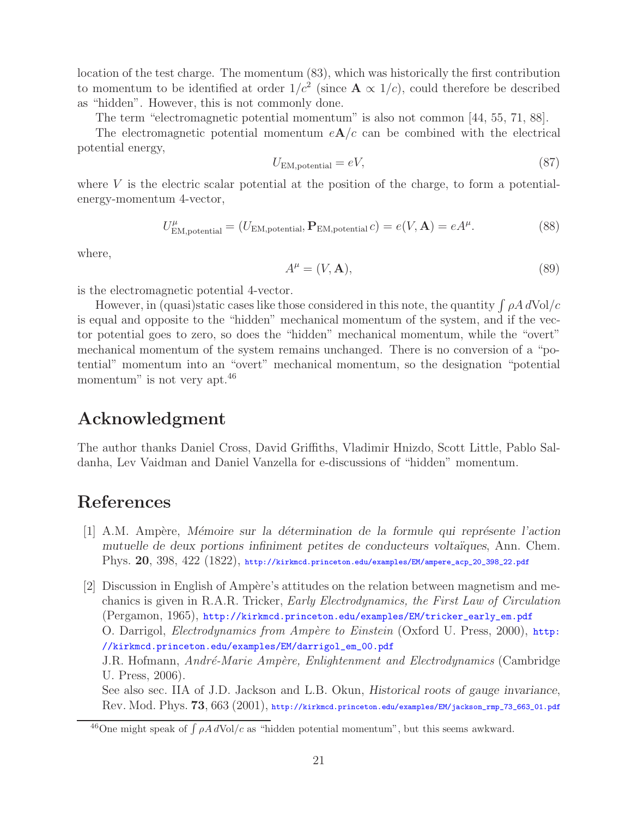location of the test charge. The momentum (83), which was historically the first contribution to momentum to be identified at order  $1/c^2$  (since  $\mathbf{A} \propto 1/c$ ), could therefore be described as "hidden". However, this is not commonly done.

The term "electromagnetic potential momentum" is also not common [44, 55, 71, 88].

The electromagnetic potential momentum  $eA/c$  can be combined with the electrical potential energy,

$$
U_{\text{EM},\text{potential}} = eV,\tag{87}
$$

where  $V$  is the electric scalar potential at the position of the charge, to form a potentialenergy-momentum 4-vector,

$$
U^{\mu}_{\text{EM},\text{potential}} = (U_{\text{EM},\text{potential}}, \mathbf{P}_{\text{EM},\text{potential}} c) = e(V, \mathbf{A}) = eA^{\mu}.
$$
 (88)

where,

$$
A^{\mu} = (V, \mathbf{A}),\tag{89}
$$

is the electromagnetic potential 4-vector.

However, in (quasi)static cases like those considered in this note, the quantity  $\int \rho A dVol/c$ is equal and opposite to the "hidden" mechanical momentum of the system, and if the vector potential goes to zero, so does the "hidden" mechanical momentum, while the "overt" mechanical momentum of the system remains unchanged. There is no conversion of a "potential" momentum into an "overt" mechanical momentum, so the designation "potential momentum" is not very apt.<sup>46</sup>

## **Acknowledgment**

The author thanks Daniel Cross, David Griffiths, Vladimir Hnizdo, Scott Little, Pablo Saldanha, Lev Vaidman and Daniel Vanzella for e-discussions of "hidden" momentum.

# **References**

[1] A.M. Amp`ere, *M´emoire sur la d´etermination de la formule qui repr´esente l'action mutuelle de deux portions infiniment petites de conducteurs volta¨ıques*, Ann. Chem. Phys. **20**, 398, 422 (1822), http://kirkmcd.princeton.edu/examples/EM/ampere\_acp\_20\_398\_22.pdf

[2] Discussion in English of Ampère's attitudes on the relation between magnetism and mechanics is given in R.A.R. Tricker, *Early Electrodynamics, the First Law of Circulation* (Pergamon, 1965), http://kirkmcd.princeton.edu/examples/EM/tricker\_early\_em.pdf O. Darrigol, *Electrodynamics from Amp`ere to Einstein* (Oxford U. Press, 2000), http: //kirkmcd.princeton.edu/examples/EM/darrigol\_em\_00.pdf J.R. Hofmann, *Andr´e-Marie Amp`ere, Enlightenment and Electrodynamics* (Cambridge U. Press, 2006). See also sec. IIA of J.D. Jackson and L.B. Okun, *Historical roots of gauge invariance*, Rev. Mod. Phys. **73**, 663 (2001), http://kirkmcd.princeton.edu/examples/EM/jackson\_rmp\_73\_663\_01.pdf

<sup>&</sup>lt;sup>46</sup>One might speak of  $\int \rho A dVol/c$  as "hidden potential momentum", but this seems awkward.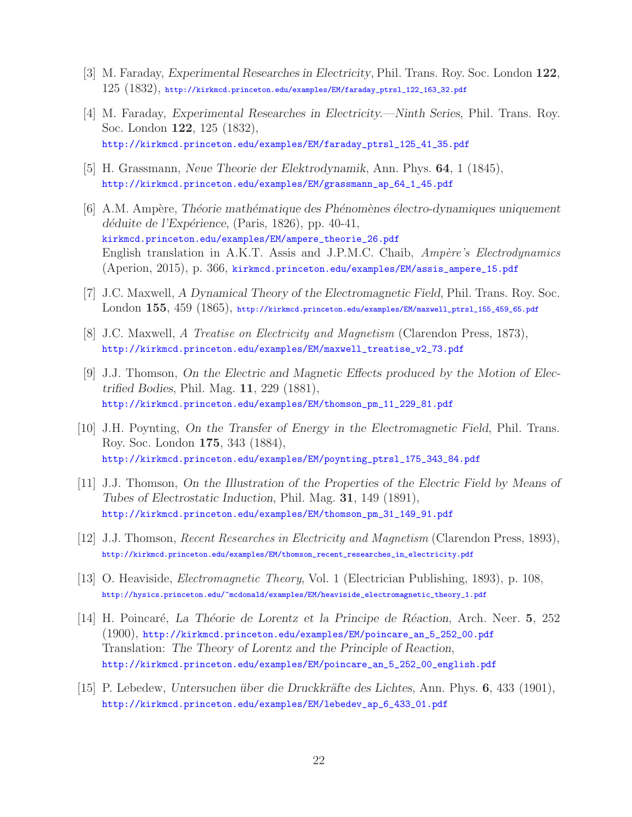- [3] M. Faraday, *Experimental Researches in Electricity*, Phil. Trans. Roy. Soc. London **122**, 125 (1832), http://kirkmcd.princeton.edu/examples/EM/faraday\_ptrsl\_122\_163\_32.pdf
- [4] M. Faraday, *Experimental Researches in Electricity.—Ninth Series*, Phil. Trans. Roy. Soc. London **122**, 125 (1832), http://kirkmcd.princeton.edu/examples/EM/faraday\_ptrsl\_125\_41\_35.pdf
- [5] H. Grassmann, *Neue Theorie der Elektrodynamik*, Ann. Phys. **64**, 1 (1845), http://kirkmcd.princeton.edu/examples/EM/grassmann\_ap\_64\_1\_45.pdf
- [6] A.M. Amp`ere, *Th´eorie math´ematique des Ph´enom`enes ´electro-dynamiques uniquement d´eduite de l'Exp´erience*, (Paris, 1826), pp. 40-41, kirkmcd.princeton.edu/examples/EM/ampere\_theorie\_26.pdf English translation in A.K.T. Assis and J.P.M.C. Chaib, *Ampère's Electrodynamics* (Aperion, 2015), p. 366, kirkmcd.princeton.edu/examples/EM/assis\_ampere\_15.pdf
- [7] J.C. Maxwell, *A Dynamical Theory of the Electromagnetic Field*, Phil. Trans. Roy. Soc. London **155**, 459 (1865), http://kirkmcd.princeton.edu/examples/EM/maxwell\_ptrsl\_155\_459\_65.pdf
- [8] J.C. Maxwell, *A Treatise on Electricity and Magnetism* (Clarendon Press, 1873), http://kirkmcd.princeton.edu/examples/EM/maxwell\_treatise\_v2\_73.pdf
- [9] J.J. Thomson, *On the Electric and Magnetic Effects produced by the Motion of Electrified Bodies*, Phil. Mag. **11**, 229 (1881), http://kirkmcd.princeton.edu/examples/EM/thomson\_pm\_11\_229\_81.pdf
- [10] J.H. Poynting, *On the Transfer of Energy in the Electromagnetic Field*, Phil. Trans. Roy. Soc. London **175**, 343 (1884), http://kirkmcd.princeton.edu/examples/EM/poynting\_ptrsl\_175\_343\_84.pdf
- [11] J.J. Thomson, *On the Illustration of the Properties of the Electric Field by Means of Tubes of Electrostatic Induction*, Phil. Mag. **31**, 149 (1891), http://kirkmcd.princeton.edu/examples/EM/thomson\_pm\_31\_149\_91.pdf
- [12] J.J. Thomson, *Recent Researches in Electricity and Magnetism* (Clarendon Press, 1893), http://kirkmcd.princeton.edu/examples/EM/thomson\_recent\_researches\_in\_electricity.pdf
- [13] O. Heaviside, *Electromagnetic Theory*, Vol. 1 (Electrician Publishing, 1893), p. 108, http://hysics.princeton.edu/~mcdonald/examples/EM/heaviside\_electromagnetic\_theory\_1.pdf
- [14] H. Poincar´e, *La Th´eorie de Lorentz et la Principe de R´eaction*, Arch. Neer. **5**, 252 (1900), http://kirkmcd.princeton.edu/examples/EM/poincare\_an\_5\_252\_00.pdf Translation: *The Theory of Lorentz and the Principle of Reaction*, http://kirkmcd.princeton.edu/examples/EM/poincare\_an\_5\_252\_00\_english.pdf
- [15] P. Lebedew, *Untersuchen ¨uber die Druckkr¨afte des Lichtes*, Ann. Phys. **6**, 433 (1901), http://kirkmcd.princeton.edu/examples/EM/lebedev\_ap\_6\_433\_01.pdf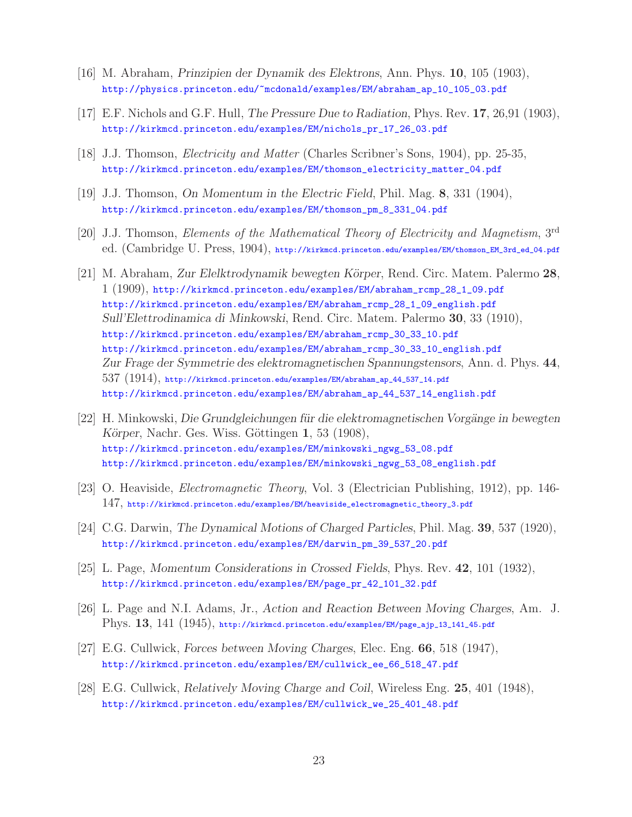- [16] M. Abraham, *Prinzipien der Dynamik des Elektrons*, Ann. Phys. **10**, 105 (1903), http://physics.princeton.edu/~mcdonald/examples/EM/abraham\_ap\_10\_105\_03.pdf
- [17] E.F. Nichols and G.F. Hull, *The Pressure Due to Radiation*, Phys. Rev. **17**, 26,91 (1903), http://kirkmcd.princeton.edu/examples/EM/nichols\_pr\_17\_26\_03.pdf
- [18] J.J. Thomson, *Electricity and Matter* (Charles Scribner's Sons, 1904), pp. 25-35, http://kirkmcd.princeton.edu/examples/EM/thomson\_electricity\_matter\_04.pdf
- [19] J.J. Thomson, *On Momentum in the Electric Field*, Phil. Mag. **8**, 331 (1904), http://kirkmcd.princeton.edu/examples/EM/thomson\_pm\_8\_331\_04.pdf
- [20] J.J. Thomson, *Elements of the Mathematical Theory of Electricity and Magnetism*, 3rd ed. (Cambridge U. Press, 1904), http://kirkmcd.princeton.edu/examples/EM/thomson\_EM\_3rd\_ed\_04.pdf
- [21] M. Abraham, *Zur Elelktrodynamik bewegten K¨orper*, Rend. Circ. Matem. Palermo **28**, 1 (1909), http://kirkmcd.princeton.edu/examples/EM/abraham\_rcmp\_28\_1\_09.pdf http://kirkmcd.princeton.edu/examples/EM/abraham\_rcmp\_28\_1\_09\_english.pdf *Sull'Elettrodinamica di Minkowski*, Rend. Circ. Matem. Palermo **30**, 33 (1910), http://kirkmcd.princeton.edu/examples/EM/abraham\_rcmp\_30\_33\_10.pdf http://kirkmcd.princeton.edu/examples/EM/abraham\_rcmp\_30\_33\_10\_english.pdf *Zur Frage der Symmetrie des elektromagnetischen Spannungstensors*, Ann. d. Phys. **44**,  $537$   $(1914)$ , http://kirkmcd.princeton.edu/examples/EM/abraham\_ap\_44\_537\_14.pdf http://kirkmcd.princeton.edu/examples/EM/abraham\_ap\_44\_537\_14\_english.pdf
- [22] H. Minkowski, *Die Grundgleichungen für die elektromagnetischen Vorgänge in bewegten Körper*, Nachr. Ges. Wiss. Göttingen **1**, 53 (1908), http://kirkmcd.princeton.edu/examples/EM/minkowski\_ngwg\_53\_08.pdf http://kirkmcd.princeton.edu/examples/EM/minkowski\_ngwg\_53\_08\_english.pdf
- [23] O. Heaviside, *Electromagnetic Theory*, Vol. 3 (Electrician Publishing, 1912), pp. 146- 147, http://kirkmcd.princeton.edu/examples/EM/heaviside\_electromagnetic\_theory\_3.pdf
- [24] C.G. Darwin, *The Dynamical Motions of Charged Particles*, Phil. Mag. **39**, 537 (1920), http://kirkmcd.princeton.edu/examples/EM/darwin\_pm\_39\_537\_20.pdf
- [25] L. Page, *Momentum Considerations in Crossed Fields*, Phys. Rev. **42**, 101 (1932), http://kirkmcd.princeton.edu/examples/EM/page\_pr\_42\_101\_32.pdf
- [26] L. Page and N.I. Adams, Jr., *Action and Reaction Between Moving Charges*, Am. J. Phys. **13**, 141 (1945), http://kirkmcd.princeton.edu/examples/EM/page\_ajp\_13\_141\_45.pdf
- [27] E.G. Cullwick, *Forces between Moving Charges*, Elec. Eng. **66**, 518 (1947), http://kirkmcd.princeton.edu/examples/EM/cullwick\_ee\_66\_518\_47.pdf
- [28] E.G. Cullwick, *Relatively Moving Charge and Coil*, Wireless Eng. **25**, 401 (1948), http://kirkmcd.princeton.edu/examples/EM/cullwick\_we\_25\_401\_48.pdf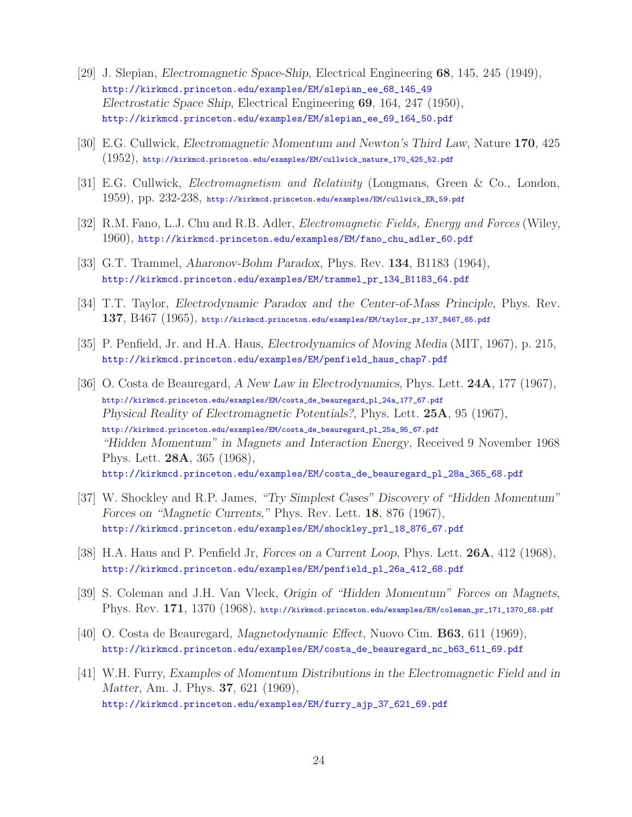- [29] J. Slepian, *Electromagnetic Space-Ship*, Electrical Engineering **68**, 145, 245 (1949), http://kirkmcd.princeton.edu/examples/EM/slepian\_ee\_68\_145\_49 *Electrostatic Space Ship*, Electrical Engineering **69**, 164, 247 (1950), http://kirkmcd.princeton.edu/examples/EM/slepian\_ee\_69\_164\_50.pdf
- [30] E.G. Cullwick, *Electromagnetic Momentum and Newton's Third Law*, Nature **170**, 425  $(1952)$ , http://kirkmcd.princeton.edu/examples/EM/cullwick\_nature\_170\_425\_52.pdf
- [31] E.G. Cullwick, *Electromagnetism and Relativity* (Longmans, Green & Co., London, 1959), pp. 232-238, http://kirkmcd.princeton.edu/examples/EM/cullwick\_ER\_59.pdf
- [32] R.M. Fano, L.J. Chu and R.B. Adler, *Electromagnetic Fields, Energy and Forces* (Wiley, 1960), http://kirkmcd.princeton.edu/examples/EM/fano\_chu\_adler\_60.pdf
- [33] G.T. Trammel, *Aharonov-Bohm Paradox*, Phys. Rev. **134**, B1183 (1964), http://kirkmcd.princeton.edu/examples/EM/trammel\_pr\_134\_B1183\_64.pdf
- [34] T.T. Taylor, *Electrodynamic Paradox and the Center-of-Mass Principle*, Phys. Rev. **137**, B467 (1965), http://kirkmcd.princeton.edu/examples/EM/taylor\_pr\_137\_B467\_65.pdf
- [35] P. Penfield, Jr. and H.A. Haus, *Electrodynamics of Moving Media* (MIT, 1967), p. 215, http://kirkmcd.princeton.edu/examples/EM/penfield\_haus\_chap7.pdf
- [36] O. Costa de Beauregard, *A New Law in Electrodynamics*, Phys. Lett. **24A**, 177 (1967), http://kirkmcd.princeton.edu/examples/EM/costa\_de\_beauregard\_pl\_24a\_177\_67.pdf *Physical Reality of Electromagnetic Potentials?*, Phys. Lett. **25A**, 95 (1967), http://kirkmcd.princeton.edu/examples/EM/costa\_de\_beauregard\_pl\_25a\_95\_67.pdf *"Hidden Momentum" in Magnets and Interaction Energy*, Received 9 November 1968 Phys. Lett. **28A**, 365 (1968), http://kirkmcd.princeton.edu/examples/EM/costa\_de\_beauregard\_pl\_28a\_365\_68.pdf
- [37] W. Shockley and R.P. James, *"Try Simplest Cases" Discovery of "Hidden Momentum" Forces on "Magnetic Currents,"* Phys. Rev. Lett. **18**, 876 (1967), http://kirkmcd.princeton.edu/examples/EM/shockley\_prl\_18\_876\_67.pdf
- [38] H.A. Haus and P. Penfield Jr, *Forces on a Current Loop*, Phys. Lett. **26A**, 412 (1968), http://kirkmcd.princeton.edu/examples/EM/penfield\_pl\_26a\_412\_68.pdf
- [39] S. Coleman and J.H. Van Vleck, *Origin of "Hidden Momentum" Forces on Magnets*, Phys. Rev. **171**, 1370 (1968), http://kirkmcd.princeton.edu/examples/EM/coleman\_pr\_171\_1370\_68.pdf
- [40] O. Costa de Beauregard, *Magnetodynamic Effect*, Nuovo Cim. **B63**, 611 (1969), http://kirkmcd.princeton.edu/examples/EM/costa\_de\_beauregard\_nc\_b63\_611\_69.pdf
- [41] W.H. Furry, *Examples of Momentum Distributions in the Electromagnetic Field and in Matter*, Am. J. Phys. **37**, 621 (1969), http://kirkmcd.princeton.edu/examples/EM/furry\_ajp\_37\_621\_69.pdf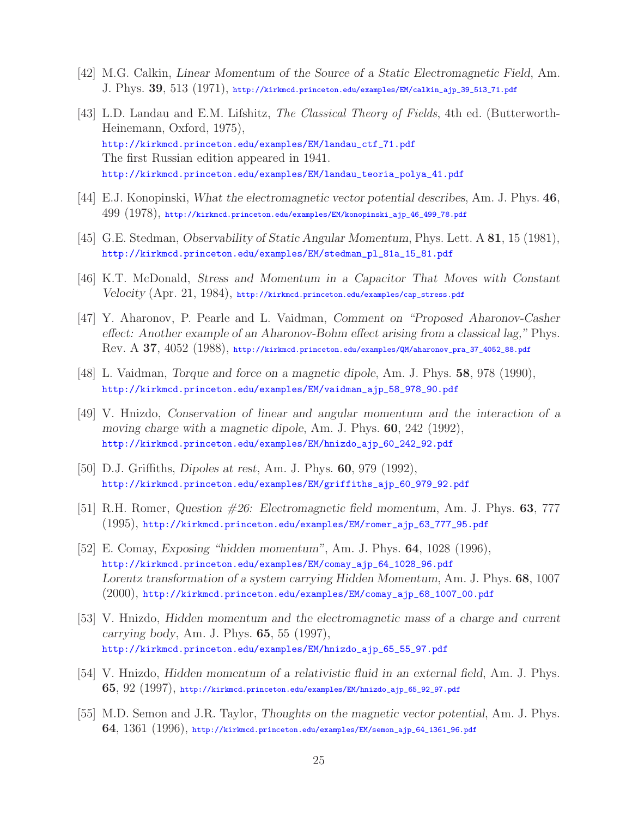- [42] M.G. Calkin, *Linear Momentum of the Source of a Static Electromagnetic Field*, Am. J. Phys. **39**, 513 (1971), http://kirkmcd.princeton.edu/examples/EM/calkin\_ajp\_39\_513\_71.pdf
- [43] L.D. Landau and E.M. Lifshitz, *The Classical Theory of Fields*, 4th ed. (Butterworth-Heinemann, Oxford, 1975), http://kirkmcd.princeton.edu/examples/EM/landau\_ctf\_71.pdf The first Russian edition appeared in 1941. http://kirkmcd.princeton.edu/examples/EM/landau\_teoria\_polya\_41.pdf
- [44] E.J. Konopinski, *What the electromagnetic vector potential describes*, Am. J. Phys. **46**, 499 (1978), http://kirkmcd.princeton.edu/examples/EM/konopinski\_ajp\_46\_499\_78.pdf
- [45] G.E. Stedman, *Observability of Static Angular Momentum*, Phys. Lett. A **81**, 15 (1981), http://kirkmcd.princeton.edu/examples/EM/stedman\_pl\_81a\_15\_81.pdf
- [46] K.T. McDonald, *Stress and Momentum in a Capacitor That Moves with Constant Velocity* (Apr. 21, 1984), http://kirkmcd.princeton.edu/examples/cap\_stress.pdf
- [47] Y. Aharonov, P. Pearle and L. Vaidman, *Comment on "Proposed Aharonov-Casher effect: Another example of an Aharonov-Bohm effect arising from a classical lag,"* Phys. Rev. A **37**, 4052 (1988), http://kirkmcd.princeton.edu/examples/QM/aharonov\_pra\_37\_4052\_88.pdf
- [48] L. Vaidman, *Torque and force on a magnetic dipole*, Am. J. Phys. **58**, 978 (1990), http://kirkmcd.princeton.edu/examples/EM/vaidman\_ajp\_58\_978\_90.pdf
- [49] V. Hnizdo, *Conservation of linear and angular momentum and the interaction of a moving charge with a magnetic dipole*, Am. J. Phys. **60**, 242 (1992), http://kirkmcd.princeton.edu/examples/EM/hnizdo\_ajp\_60\_242\_92.pdf
- [50] D.J. Griffiths, *Dipoles at rest*, Am. J. Phys. **60**, 979 (1992), http://kirkmcd.princeton.edu/examples/EM/griffiths\_ajp\_60\_979\_92.pdf
- [51] R.H. Romer, *Question #26: Electromagnetic field momentum*, Am. J. Phys. **63**, 777 (1995), http://kirkmcd.princeton.edu/examples/EM/romer\_ajp\_63\_777\_95.pdf
- [52] E. Comay, *Exposing "hidden momentum"*, Am. J. Phys. **64**, 1028 (1996), http://kirkmcd.princeton.edu/examples/EM/comay\_ajp\_64\_1028\_96.pdf *Lorentz transformation of a system carrying Hidden Momentum*, Am. J. Phys. **68**, 1007 (2000), http://kirkmcd.princeton.edu/examples/EM/comay\_ajp\_68\_1007\_00.pdf
- [53] V. Hnizdo, *Hidden momentum and the electromagnetic mass of a charge and current carrying body*, Am. J. Phys. **65**, 55 (1997), http://kirkmcd.princeton.edu/examples/EM/hnizdo\_ajp\_65\_55\_97.pdf
- [54] V. Hnizdo, *Hidden momentum of a relativistic fluid in an external field*, Am. J. Phys. **65**, 92 (1997), http://kirkmcd.princeton.edu/examples/EM/hnizdo\_ajp\_65\_92\_97.pdf
- [55] M.D. Semon and J.R. Taylor, *Thoughts on the magnetic vector potential*, Am. J. Phys. **64**, 1361 (1996), http://kirkmcd.princeton.edu/examples/EM/semon\_ajp\_64\_1361\_96.pdf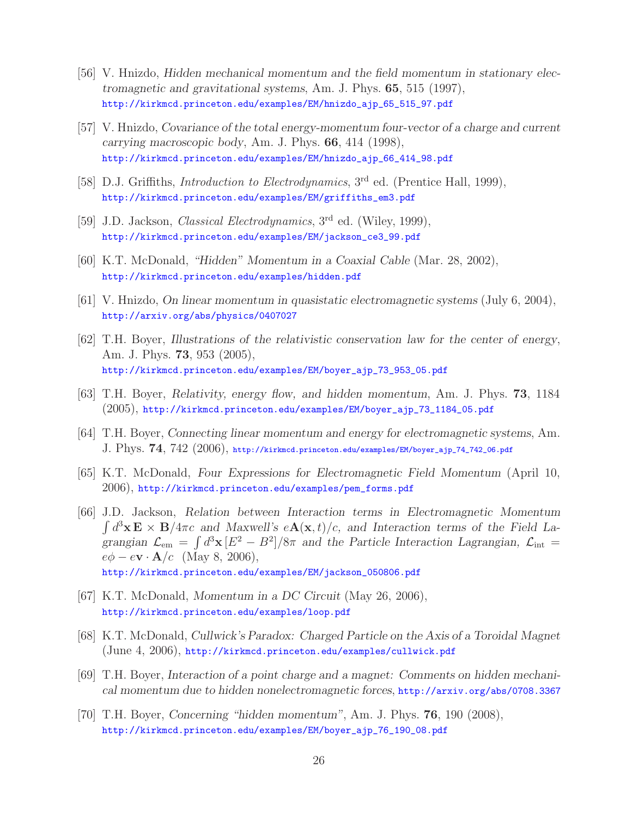- [56] V. Hnizdo, *Hidden mechanical momentum and the field momentum in stationary electromagnetic and gravitational systems*, Am. J. Phys. **65**, 515 (1997), http://kirkmcd.princeton.edu/examples/EM/hnizdo\_ajp\_65\_515\_97.pdf
- [57] V. Hnizdo, *Covariance of the total energy-momentum four-vector of a charge and current carrying macroscopic body*, Am. J. Phys. **66**, 414 (1998), http://kirkmcd.princeton.edu/examples/EM/hnizdo\_ajp\_66\_414\_98.pdf
- [58] D.J. Griffiths, *Introduction to Electrodynamics*, 3rd ed. (Prentice Hall, 1999), http://kirkmcd.princeton.edu/examples/EM/griffiths\_em3.pdf
- [59] J.D. Jackson, *Classical Electrodynamics*, 3rd ed. (Wiley, 1999), http://kirkmcd.princeton.edu/examples/EM/jackson\_ce3\_99.pdf
- [60] K.T. McDonald, *"Hidden" Momentum in a Coaxial Cable* (Mar. 28, 2002), http://kirkmcd.princeton.edu/examples/hidden.pdf
- [61] V. Hnizdo, *On linear momentum in quasistatic electromagnetic systems* (July 6, 2004), http://arxiv.org/abs/physics/0407027
- [62] T.H. Boyer, *Illustrations of the relativistic conservation law for the center of energy*, Am. J. Phys. **73**, 953 (2005), http://kirkmcd.princeton.edu/examples/EM/boyer\_ajp\_73\_953\_05.pdf
- [63] T.H. Boyer, *Relativity, energy flow, and hidden momentum*, Am. J. Phys. **73**, 1184 (2005), http://kirkmcd.princeton.edu/examples/EM/boyer\_ajp\_73\_1184\_05.pdf
- [64] T.H. Boyer, *Connecting linear momentum and energy for electromagnetic systems*, Am. J. Phys. **74**, 742 (2006), http://kirkmcd.princeton.edu/examples/EM/boyer\_ajp\_74\_742\_06.pdf
- [65] K.T. McDonald, *Four Expressions for Electromagnetic Field Momentum* (April 10, 2006), http://kirkmcd.princeton.edu/examples/pem\_forms.pdf
- [66] J.D. Jackson, *Relation between Interaction terms in Electromagnetic Momentum*  $\int d^3x \mathbf{E} \times \mathbf{B}/4\pi c$  and Maxwell's  $e\mathbf{A}(\mathbf{x},t)/c$ , and Interaction terms of the Field Lagrangian  $\mathcal{L}_{em} = \int d^3x [E^2 - B^2]/8\pi$  and the Particle Interaction Lagrangian,  $\mathcal{L}_{int}$  $e\phi - e\mathbf{v} \cdot \mathbf{A}/c$  (May 8, 2006), http://kirkmcd.princeton.edu/examples/EM/jackson\_050806.pdf
- [67] K.T. McDonald, *Momentum in a DC Circuit* (May 26, 2006), http://kirkmcd.princeton.edu/examples/loop.pdf
- [68] K.T. McDonald, *Cullwick's Paradox: Charged Particle on the Axis of a Toroidal Magnet* (June 4, 2006), http://kirkmcd.princeton.edu/examples/cullwick.pdf
- [69] T.H. Boyer, *Interaction of a point charge and a magnet: Comments on hidden mechanical momentum due to hidden nonelectromagnetic forces*, http://arxiv.org/abs/0708.3367
- [70] T.H. Boyer, *Concerning "hidden momentum"*, Am. J. Phys. **76**, 190 (2008), http://kirkmcd.princeton.edu/examples/EM/boyer\_ajp\_76\_190\_08.pdf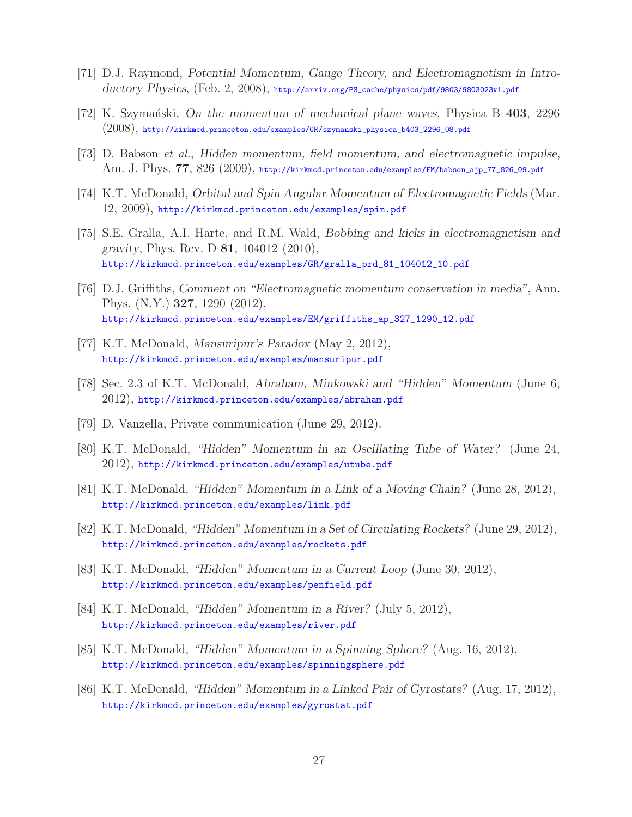- [71] D.J. Raymond, *Potential Momentum, Gauge Theory, and Electromagnetism in Introductory Physics*, (Feb. 2, 2008), http://arxiv.org/PS\_cache/physics/pdf/9803/9803023v1.pdf
- [72] K. Szyma´nski, *On the momentum of mechanical plane waves*, Physica B **403**, 2296 (2008), http://kirkmcd.princeton.edu/examples/GR/szymanski\_physica\_b403\_2296\_08.pdf
- [73] D. Babson *et al.*, *Hidden momentum, field momentum, and electromagnetic impulse*, Am. J. Phys. **77**, 826 (2009), http://kirkmcd.princeton.edu/examples/EM/babson\_ajp\_77\_826\_09.pdf
- [74] K.T. McDonald, *Orbital and Spin Angular Momentum of Electromagnetic Fields* (Mar. 12, 2009), http://kirkmcd.princeton.edu/examples/spin.pdf
- [75] S.E. Gralla, A.I. Harte, and R.M. Wald, *Bobbing and kicks in electromagnetism and gravity*, Phys. Rev. D **81**, 104012 (2010), http://kirkmcd.princeton.edu/examples/GR/gralla\_prd\_81\_104012\_10.pdf
- [76] D.J. Griffiths, *Comment on "Electromagnetic momentum conservation in media"*, Ann. Phys. (N.Y.) **327**, 1290 (2012), http://kirkmcd.princeton.edu/examples/EM/griffiths\_ap\_327\_1290\_12.pdf
- [77] K.T. McDonald, *Mansuripur's Paradox* (May 2, 2012), http://kirkmcd.princeton.edu/examples/mansuripur.pdf
- [78] Sec. 2.3 of K.T. McDonald, *Abraham, Minkowski and "Hidden" Momentum* (June 6,  $2012$ , http://kirkmcd.princeton.edu/examples/abraham.pdf
- [79] D. Vanzella, Private communication (June 29, 2012).
- [80] K.T. McDonald, *"Hidden" Momentum in an Oscillating Tube of Water?* (June 24, 2012), http://kirkmcd.princeton.edu/examples/utube.pdf
- [81] K.T. McDonald, *"Hidden" Momentum in a Link of a Moving Chain?* (June 28, 2012), http://kirkmcd.princeton.edu/examples/link.pdf
- [82] K.T. McDonald, *"Hidden" Momentum in a Set of Circulating Rockets?* (June 29, 2012), http://kirkmcd.princeton.edu/examples/rockets.pdf
- [83] K.T. McDonald, *"Hidden" Momentum in a Current Loop* (June 30, 2012), http://kirkmcd.princeton.edu/examples/penfield.pdf
- [84] K.T. McDonald, *"Hidden" Momentum in a River?* (July 5, 2012), http://kirkmcd.princeton.edu/examples/river.pdf
- [85] K.T. McDonald, *"Hidden" Momentum in a Spinning Sphere?* (Aug. 16, 2012), http://kirkmcd.princeton.edu/examples/spinningsphere.pdf
- [86] K.T. McDonald, *"Hidden" Momentum in a Linked Pair of Gyrostats?* (Aug. 17, 2012), http://kirkmcd.princeton.edu/examples/gyrostat.pdf